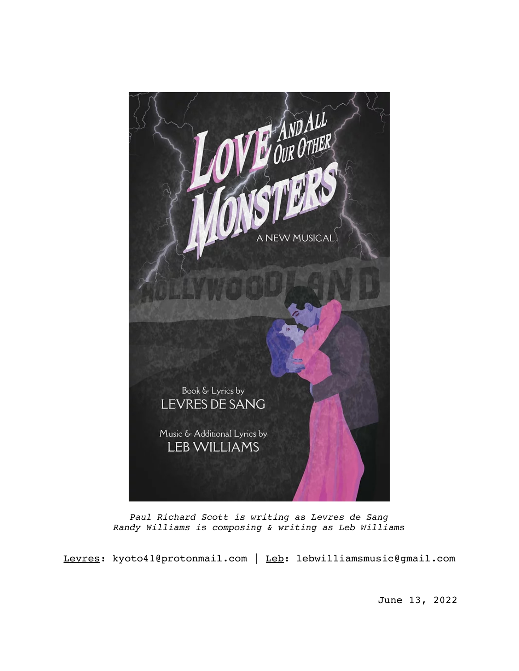

*Paul Richard Scott is writing as Levres de Sang Randy Williams is composing & writing as Leb Williams*

Levres: kyoto41@protonmail.com | Leb: lebwilliamsmusic@gmail.com

June 13, 2022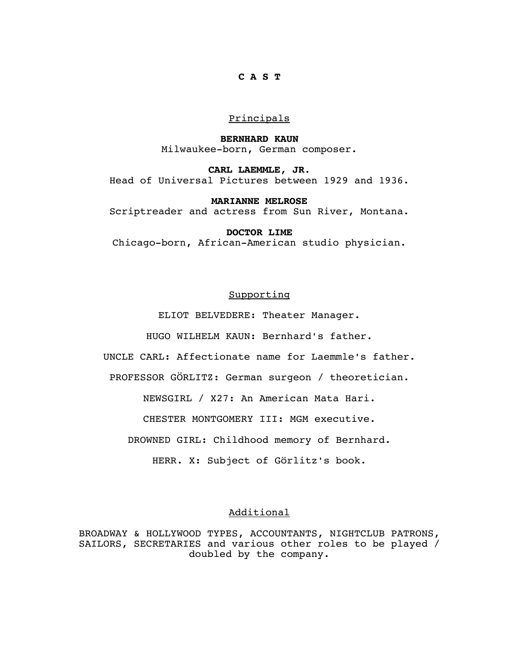# **C A S T**

# Principals

**BERNHARD KAUN** Milwaukee-born, German composer.

**CARL LAEMMLE, JR**. Head of Universal Pictures between 1929 and 1936.

**MARIANNE MELROSE** Scriptreader and actress from Sun River, Montana.

**DOCTOR LIME** Chicago-born, African-American studio physician.

# Supporting

ELIOT BELVEDERE: Theater Manager.

HUGO WILHELM KAUN: Bernhard's father.

UNCLE CARL: Affectionate name for Laemmle's father.

PROFESSOR GÖRLITZ: German surgeon / theoretician.

NEWSGIRL / X27: An American Mata Hari.

CHESTER MONTGOMERY III: MGM executive.

DROWNED GIRL: Childhood memory of Bernhard.

HERR. X: Subject of Görlitz's book.

# Additional

BROADWAY & HOLLYWOOD TYPES, ACCOUNTANTS, NIGHTCLUB PATRONS, SAILORS, SECRETARIES and various other roles to be played / doubled by the company.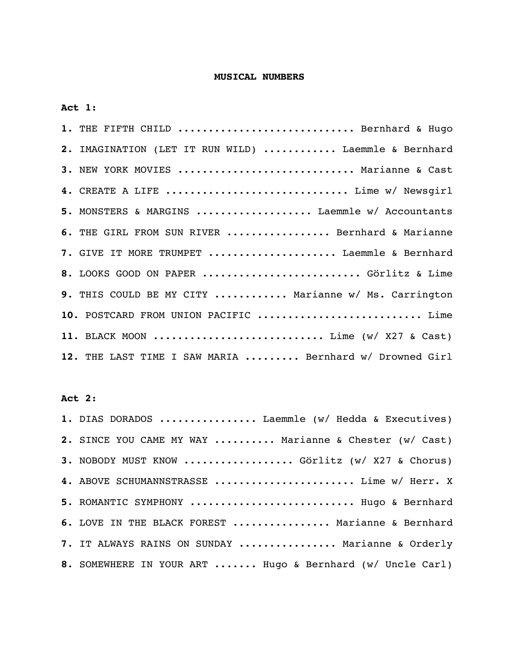# **MUSICAL NUMBERS**

**Act 1**:

| 1. THE FIFTH CHILD  Bernhard & Hugo                     |
|---------------------------------------------------------|
| 2. IMAGINATION (LET IT RUN WILD)  Laemmle & Bernhard    |
| 3. NEW YORK MOVIES  Marianne & Cast                     |
| 4. CREATE A LIFE  Lime w/ Newsgirl                      |
| 5. MONSTERS & MARGINS  Laemmle w/ Accountants           |
| 6. THE GIRL FROM SUN RIVER  Bernhard & Marianne         |
| 7. GIVE IT MORE TRUMPET  Laemmle & Bernhard             |
| 8. LOOKS GOOD ON PAPER  Görlitz & Lime                  |
| 9. THIS COULD BE MY CITY  Marianne w/ Ms. Carrington    |
| 10. POSTCARD FROM UNION PACIFIC  Lime                   |
| 11. BLACK MOON  Lime (w/ X27 & Cast)                    |
| 12. THE LAST TIME I SAW MARIA  Bernhard w/ Drowned Girl |

# **Act 2**:

| 1. DIAS DORADOS  Laemmle (w/ Hedda & Executives)          |
|-----------------------------------------------------------|
| 2. SINCE YOU CAME MY WAY  Marianne & Chester (w/ Cast)    |
| 3. NOBODY MUST KNOW  Görlitz (w/ X27 & Chorus)            |
| 4. ABOVE SCHUMANNSTRASSE  Lime w/ Herr. X                 |
| 5. ROMANTIC SYMPHONY  Hugo & Bernhard                     |
| 6. LOVE IN THE BLACK FOREST  Marianne & Bernhard          |
| 7. IT ALWAYS RAINS ON SUNDAY  Marianne & Orderly          |
| 8. SOMEWHERE IN YOUR ART  Hugo & Bernhard (w/ Uncle Carl) |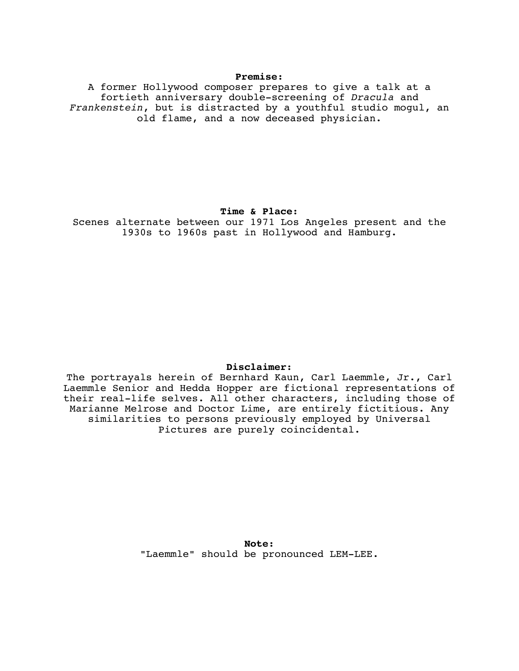#### **Premise**:

A former Hollywood composer prepares to give a talk at a fortieth anniversary double-screening of *Dracula* and *Frankenstein*, but is distracted by a youthful studio mogul, an old flame, and a now deceased physician.

## **Time & Place**:

Scenes alternate between our 1971 Los Angeles present and the 1930s to 1960s past in Hollywood and Hamburg.

### **Disclaimer**:

The portrayals herein of Bernhard Kaun, Carl Laemmle, Jr., Carl Laemmle Senior and Hedda Hopper are fictional representations of their real-life selves. All other characters, including those of Marianne Melrose and Doctor Lime, are entirely fictitious. Any similarities to persons previously employed by Universal Pictures are purely coincidental.

> **Note**: "Laemmle" should be pronounced LEM-LEE.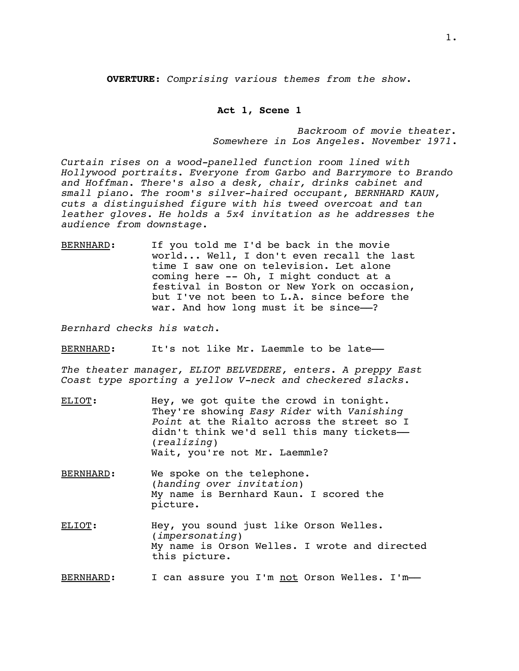**OVERTURE**: *Comprising various themes from the show*.

### **Act 1, Scene 1**

*Backroom of movie theater. Somewhere in Los Angeles*. *November 1971*.

*Curtain rises on a wood-panelled function room lined with Hollywood portraits. Everyone from Garbo and Barrymore to Brando and Hoffman. There's also a desk, chair, drinks cabinet and small piano. The room's silver-haired occupant, BERNHARD KAUN, cuts a distinguished figure with his tweed overcoat and tan leather gloves. He holds a 5x4 invitation as he addresses the audience from downstage.*

BERNHARD: If you told me I'd be back in the movie world... Well, I don't even recall the last time I saw one on television. Let alone coming here -- Oh, I might conduct at a festival in Boston or New York on occasion, but I've not been to L.A. since before the war. And how long must it be since--?

*Bernhard checks his watch.*

BERNHARD: It's not like Mr. Laemmle to be late-

*The theater manager, ELIOT BELVEDERE, enters. A preppy East Coast type sporting a yellow V-neck and checkered slacks.*

- ELIOT: Hey, we got quite the crowd in tonight. They're showing *Easy Rider* with *Vanishing Point* at the Rialto across the street so I didn't think we'd sell this many tickets-(*realizing*) Wait, you're not Mr. Laemmle?
- BERNHARD: We spoke on the telephone. (*handing over invitation*) My name is Bernhard Kaun. I scored the picture.
- ELIOT: Hey, you sound just like Orson Welles. (*impersonating*) My name is Orson Welles. I wrote and directed this picture.

BERNHARD: I can assure you I'm not Orson Welles. I'm-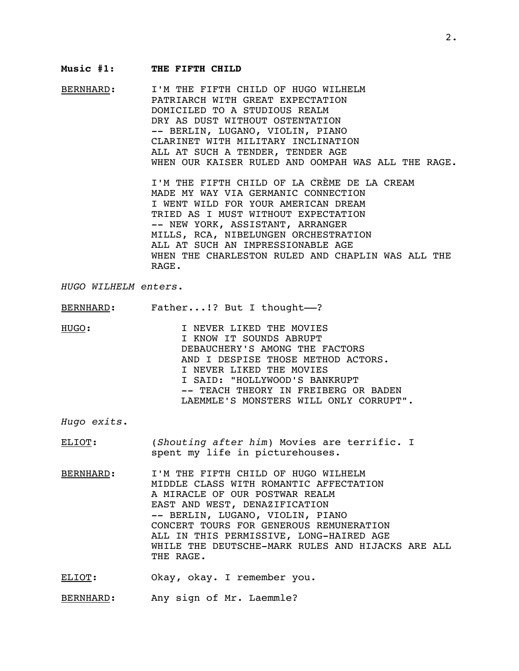#### **Music #1: THE FIFTH CHILD**

BERNHARD: I'M THE FIFTH CHILD OF HUGO WILHELM PATRIARCH WITH GREAT EXPECTATION DOMICILED TO A STUDIOUS REALM DRY AS DUST WITHOUT OSTENTATION -- BERLIN, LUGANO, VIOLIN, PIANO CLARINET WITH MILITARY INCLINATION ALL AT SUCH A TENDER, TENDER AGE WHEN OUR KAISER RULED AND OOMPAH WAS ALL THE RAGE.

> I'M THE FIFTH CHILD OF LA CRÈME DE LA CREAM MADE MY WAY VIA GERMANIC CONNECTION I WENT WILD FOR YOUR AMERICAN DREAM TRIED AS I MUST WITHOUT EXPECTATION -- NEW YORK, ASSISTANT, ARRANGER MILLS, RCA, NIBELUNGEN ORCHESTRATION ALL AT SUCH AN IMPRESSIONABLE AGE WHEN THE CHARLESTON RULED AND CHAPLIN WAS ALL THE RAGE.

*HUGO WILHELM enters*.

BERNHARD: Father...!? But I thought--?

HUGO: I NEVER LIKED THE MOVIES I KNOW IT SOUNDS ABRUPT DEBAUCHERY'S AMONG THE FACTORS AND I DESPISE THOSE METHOD ACTORS. I NEVER LIKED THE MOVIES I SAID: "HOLLYWOOD'S BANKRUPT -- TEACH THEORY IN FREIBERG OR BADEN LAEMMLE'S MONSTERS WILL ONLY CORRUPT".

*Hugo exits*.

ELIOT: (*Shouting after him*) Movies are terrific. I spent my life in picturehouses.

BERNHARD: I'M THE FIFTH CHILD OF HUGO WILHELM MIDDLE CLASS WITH ROMANTIC AFFECTATION A MIRACLE OF OUR POSTWAR REALM EAST AND WEST, DENAZIFICATION -- BERLIN, LUGANO, VIOLIN, PIANO CONCERT TOURS FOR GENEROUS REMUNERATION ALL IN THIS PERMISSIVE, LONG-HAIRED AGE WHILE THE DEUTSCHE-MARK RULES AND HIJACKS ARE ALL THE RAGE.

ELIOT: Okay, okay. I remember you.

BERNHARD: Any sign of Mr. Laemmle?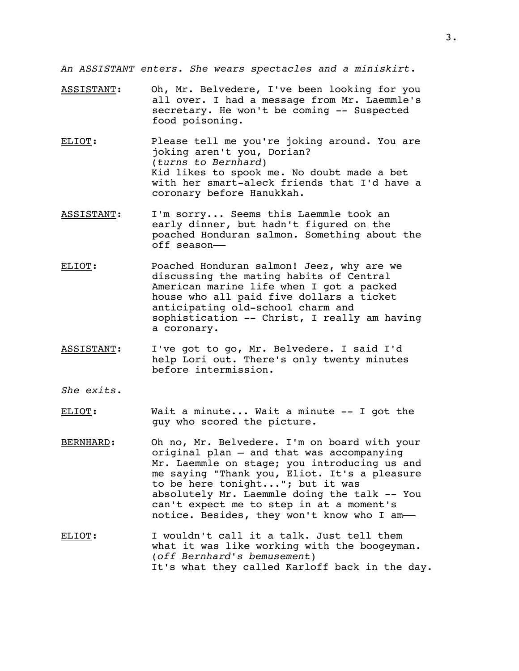*An ASSISTANT enters. She wears spectacles and a miniskirt*.

- ASSISTANT: Oh, Mr. Belvedere, I've been looking for you all over. I had a message from Mr. Laemmle's secretary. He won't be coming -- Suspected food poisoning.
- ELIOT: Please tell me you're joking around. You are joking aren't you, Dorian? (*turns to Bernhard*) Kid likes to spook me. No doubt made a bet with her smart-aleck friends that I'd have a coronary before Hanukkah.
- ASSISTANT: I'm sorry... Seems this Laemmle took an early dinner, but hadn't figured on the poached Honduran salmon. Something about the off season––
- ELIOT: Poached Honduran salmon! Jeez, why are we discussing the mating habits of Central American marine life when I got a packed house who all paid five dollars a ticket anticipating old-school charm and sophistication -- Christ, I really am having a coronary.
- ASSISTANT: I've got to go, Mr. Belvedere. I said I'd help Lori out. There's only twenty minutes before intermission.
- *She exits*.
- ELIOT: Wait a minute... Wait a minute -- I got the guy who scored the picture.
- BERNHARD: Oh no, Mr. Belvedere. I'm on board with your original plan – and that was accompanying Mr. Laemmle on stage; you introducing us and me saying "Thank you, Eliot. It's a pleasure to be here tonight..."; but it was absolutely Mr. Laemmle doing the talk -- You can't expect me to step in at a moment's notice. Besides, they won't know who I am-
- ELIOT: I wouldn't call it a talk. Just tell them what it was like working with the boogeyman. (*off Bernhard's bemusement*) It's what they called Karloff back in the day.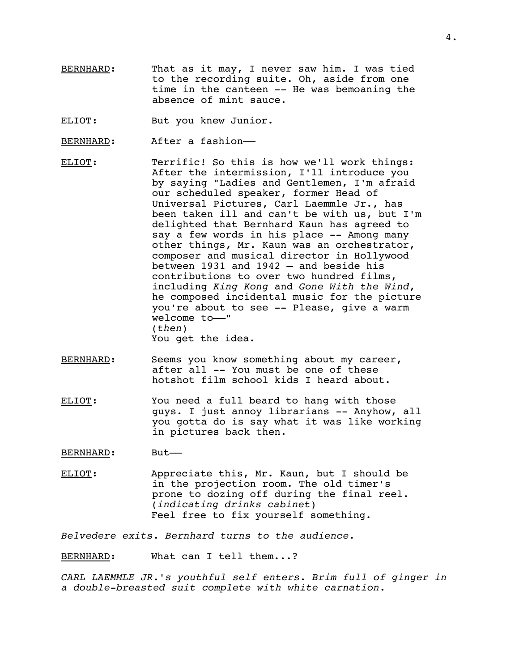BERNHARD: That as it may, I never saw him. I was tied to the recording suite. Oh, aside from one time in the canteen -- He was bemoaning the absence of mint sauce.

ELIOT: But you knew Junior.

- BERNHARD: After a fashion-
- ELIOT: Terrific! So this is how we'll work things: After the intermission, I'll introduce you by saying "Ladies and Gentlemen, I'm afraid our scheduled speaker, former Head of Universal Pictures, Carl Laemmle Jr., has been taken ill and can't be with us, but I'm delighted that Bernhard Kaun has agreed to say a few words in his place -- Among many other things, Mr. Kaun was an orchestrator, composer and musical director in Hollywood between 1931 and 1942 – and beside his contributions to over two hundred films, including *King Kong* and *Gone With the Wind*, he composed incidental music for the picture you're about to see -- Please, give a warm welcome to-" (*then*) You get the idea.
- BERNHARD: Seems you know something about my career, after all -- You must be one of these hotshot film school kids I heard about.
- ELIOT: You need a full beard to hang with those guys. I just annoy librarians -- Anyhow, all you gotta do is say what it was like working in pictures back then.
- BERNHARD: But-
- ELIOT: Appreciate this, Mr. Kaun, but I should be in the projection room. The old timer's prone to dozing off during the final reel. (*indicating drinks cabinet*) Feel free to fix yourself something.

*Belvedere exits*. *Bernhard turns to the audience*.

BERNHARD: What can I tell them...?

*CARL LAEMMLE JR.'s youthful self enters*. *Brim full of ginger in a double-breasted suit complete with white carnation.*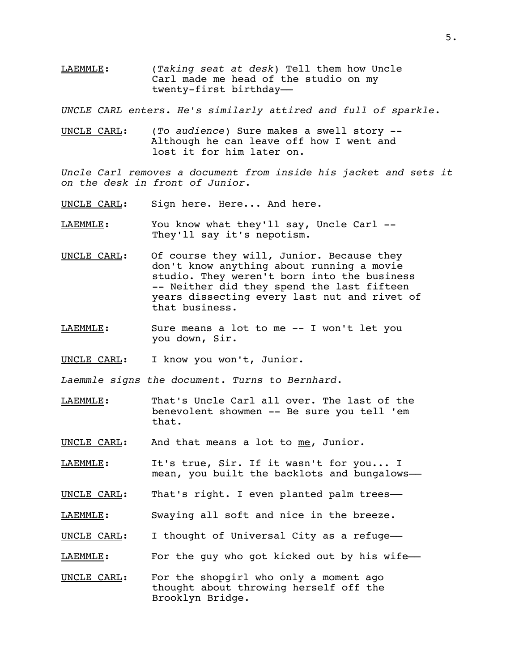LAEMMLE: (*Taking seat at desk*) Tell them how Uncle Carl made me head of the studio on my twenty-first birthday*––*

*UNCLE CARL enters*. *He's similarly attired and full of sparkle*.

UNCLE CARL: (*To audience*) Sure makes a swell story -- Although he can leave off how I went and lost it for him later on.

*Uncle Carl removes a document from inside his jacket and sets it on the desk in front of Junior.*

- UNCLE CARL: Sign here. Here... And here.
- LAEMMLE: You know what they'll say, Uncle Carl --They'll say it's nepotism.
- UNCLE CARL: Of course they will, Junior. Because they don't know anything about running a movie studio. They weren't born into the business -- Neither did they spend the last fifteen years dissecting every last nut and rivet of that business.
- LAEMMLE: Sure means a lot to me -- I won't let you you down, Sir.
- UNCLE CARL: I know you won't, Junior.
- *Laemmle signs the document*. *Turns to Bernhard*.
- LAEMMLE: That's Uncle Carl all over. The last of the benevolent showmen -- Be sure you tell 'em that.
- UNCLE CARL: And that means a lot to me, Junior.
- LAEMMLE: It's true, Sir. If it wasn't for you... I mean, you built the backlots and bungalows-
- UNCLE CARL: That's right. I even planted palm trees-
- LAEMMLE: Swaying all soft and nice in the breeze.
- UNCLE CARL: I thought of Universal City as a refuge-
- LAEMMLE: For the guy who got kicked out by his wife-
- UNCLE CARL: For the shopgirl who only a moment ago thought about throwing herself off the Brooklyn Bridge.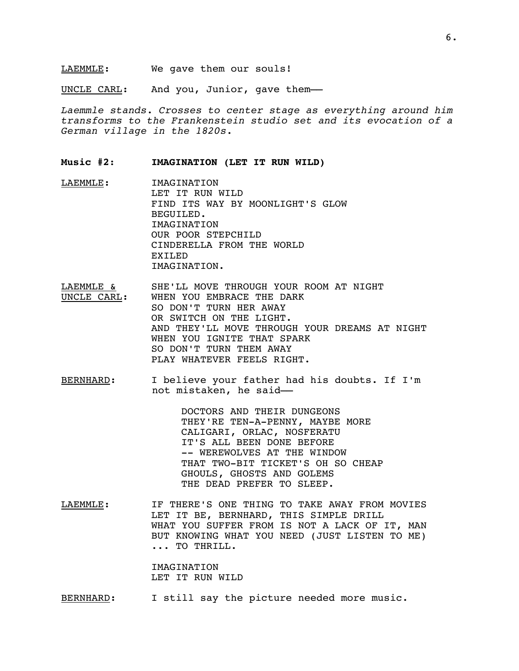UNCLE CARL: And you, Junior, gave them-

*Laemmle stands. Crosses to center stage as everything around him transforms to the Frankenstein studio set and its evocation of a German village in the 1820s.*

**Music #2**: **IMAGINATION (LET IT RUN WILD)**

- LAEMMLE: IMAGINATION LET IT RUN WILD FIND ITS WAY BY MOONLIGHT'S GLOW BEGUILED. IMAGINATION OUR POOR STEPCHILD CINDERELLA FROM THE WORLD EXILED IMAGINATION.
- LAEMMLE & SHE'LL MOVE THROUGH YOUR ROOM AT NIGHT UNCLE CARL: WHEN YOU EMBRACE THE DARK SO DON'T TURN HER AWAY OR SWITCH ON THE LIGHT. AND THEY'LL MOVE THROUGH YOUR DREAMS AT NIGHT WHEN YOU IGNITE THAT SPARK SO DON'T TURN THEM AWAY PLAY WHATEVER FEELS RIGHT.
- BERNHARD: I believe your father had his doubts. If I'm not mistaken, he said––

DOCTORS AND THEIR DUNGEONS THEY'RE TEN-A-PENNY, MAYBE MORE CALIGARI, ORLAC, NOSFERATU IT'S ALL BEEN DONE BEFORE -- WEREWOLVES AT THE WINDOW THAT TWO-BIT TICKET'S OH SO CHEAP GHOULS, GHOSTS AND GOLEMS THE DEAD PREFER TO SLEEP.

LAEMMLE: IF THERE'S ONE THING TO TAKE AWAY FROM MOVIES LET IT BE, BERNHARD, THIS SIMPLE DRILL WHAT YOU SUFFER FROM IS NOT A LACK OF IT, MAN BUT KNOWING WHAT YOU NEED (JUST LISTEN TO ME) ... TO THRILL.

> IMAGINATION LET IT RUN WILD

BERNHARD: I still say the picture needed more music.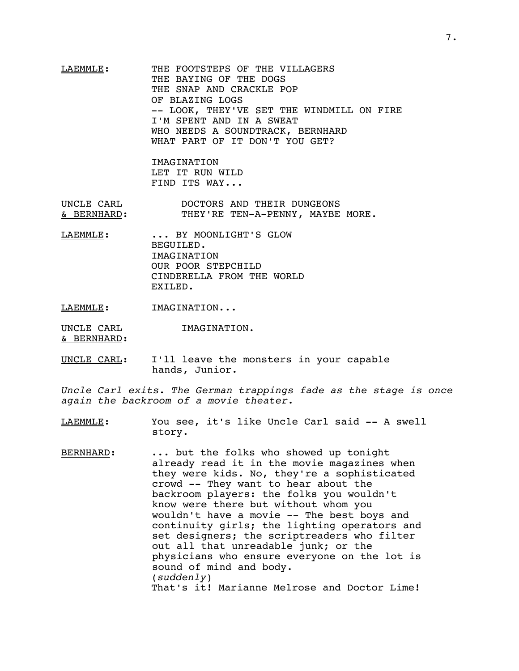# LAEMMLE: THE FOOTSTEPS OF THE VILLAGERS THE BAYING OF THE DOGS THE SNAP AND CRACKLE POP OF BLAZING LOGS -- LOOK, THEY'VE SET THE WINDMILL ON FIRE I'M SPENT AND IN A SWEAT WHO NEEDS A SOUNDTRACK, BERNHARD WHAT PART OF IT DON'T YOU GET?

IMAGINATION LET IT RUN WILD FIND ITS WAY...

UNCLE CARL DOCTORS AND THEIR DUNGEONS & BERNHARD: THEY'RE TEN-A-PENNY, MAYBE MORE.

LAEMMLE: ... BY MOONLIGHT'S GLOW BEGUILED. IMAGINATION OUR POOR STEPCHILD CINDERELLA FROM THE WORLD EXILED.

LAEMMLE: IMAGINATION...

UNCLE CARL **IMAGINATION.** 

& BERNHARD:

UNCLE CARL: I'll leave the monsters in your capable hands, Junior.

*Uncle Carl exits*. *The German trappings fade as the stage is once again the backroom of a movie theater*.

- LAEMMLE: You see, it's like Uncle Carl said -- A swell story.
- BERNHARD: ... but the folks who showed up tonight already read it in the movie magazines when they were kids. No, they're a sophisticated crowd -- They want to hear about the backroom players: the folks you wouldn't know were there but without whom you wouldn't have a movie -- The best boys and continuity girls; the lighting operators and set designers; the scriptreaders who filter out all that unreadable junk; or the physicians who ensure everyone on the lot is sound of mind and body. (*suddenly*) That's it! Marianne Melrose and Doctor Lime!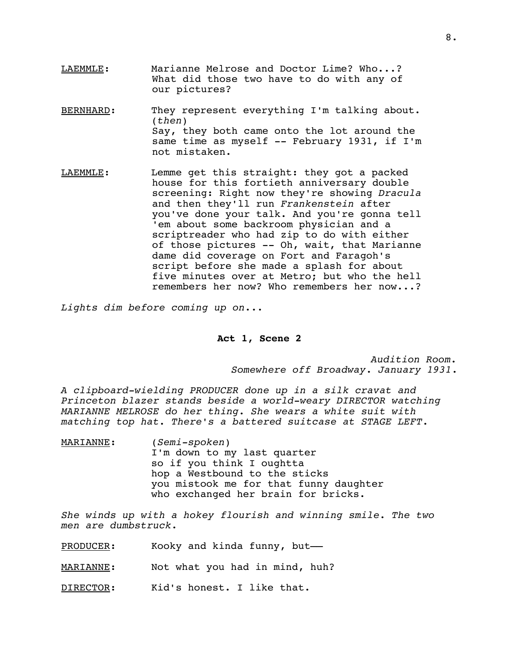- LAEMMLE: Marianne Melrose and Doctor Lime? Who...? What did those two have to do with any of our pictures?
- BERNHARD: They represent everything I'm talking about. (*then*) Say, they both came onto the lot around the same time as myself -- February 1931, if I'm not mistaken.
- LAEMMLE: Lemme get this straight: they got a packed house for this fortieth anniversary double screening: Right now they're showing *Dracula* and then they'll run *Frankenstein* after you've done your talk. And you're gonna tell 'em about some backroom physician and a scriptreader who had zip to do with either of those pictures -- Oh, wait, that Marianne dame did coverage on Fort and Faragoh's script before she made a splash for about five minutes over at Metro; but who the hell remembers her now? Who remembers her now...?

*Lights dim before coming up on*...

### **Act 1, Scene 2**

*Audition Room. Somewhere off Broadway*. *January 1931*.

*A clipboard-wielding PRODUCER done up in a silk cravat and Princeton blazer stands beside a world-weary DIRECTOR watching MARIANNE MELROSE do her thing. She wears a white suit with matching top hat. There's a battered suitcase at STAGE LEFT.*

MARIANNE: (*Semi-spoken*) I'm down to my last quarter so if you think I oughtta hop a Westbound to the sticks you mistook me for that funny daughter who exchanged her brain for bricks.

*She winds up with a hokey flourish and winning smile. The two men are dumbstruck*.

PRODUCER: Kooky and kinda funny, but-

MARIANNE: Not what you had in mind, huh?

DIRECTOR: Kid's honest. I like that.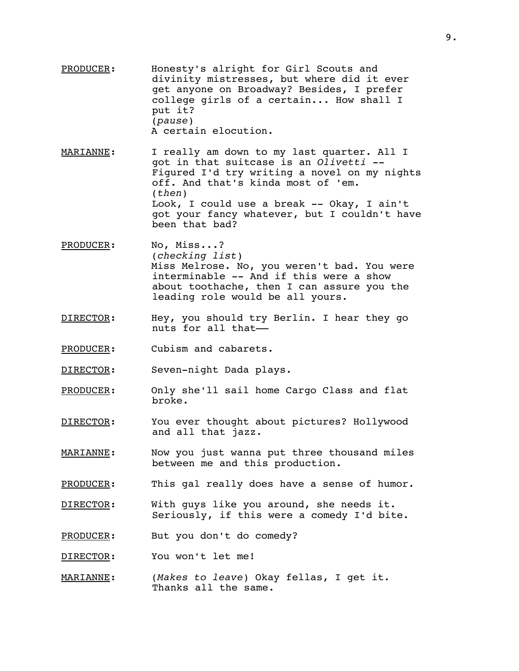- PRODUCER: Honesty's alright for Girl Scouts and divinity mistresses, but where did it ever get anyone on Broadway? Besides, I prefer college girls of a certain... How shall I put it? (*pause*) A certain elocution.
- MARIANNE: I really am down to my last quarter. All I got in that suitcase is an *Olivetti* -- Figured I'd try writing a novel on my nights off. And that's kinda most of 'em. (*then*) Look, I could use a break -- Okay, I ain't got your fancy whatever, but I couldn't have been that bad?
- PRODUCER: No, Miss...? (*checking list*) Miss Melrose. No, you weren't bad. You were interminable -- And if this were a show about toothache, then I can assure you the leading role would be all yours.
- DIRECTOR: Hey, you should try Berlin. I hear they go nuts for all that––
- PRODUCER: Cubism and cabarets.
- DIRECTOR: Seven-night Dada plays.
- PRODUCER: Only she'll sail home Cargo Class and flat broke.
- DIRECTOR: You ever thought about pictures? Hollywood and all that jazz.
- MARIANNE: Now you just wanna put three thousand miles between me and this production.
- PRODUCER: This gal really does have a sense of humor.
- DIRECTOR: With guys like you around, she needs it. Seriously, if this were a comedy I'd bite.
- PRODUCER: But you don't do comedy?
- DIRECTOR: You won't let me!
- MARIANNE: (*Makes to leave*) Okay fellas, I get it. Thanks all the same.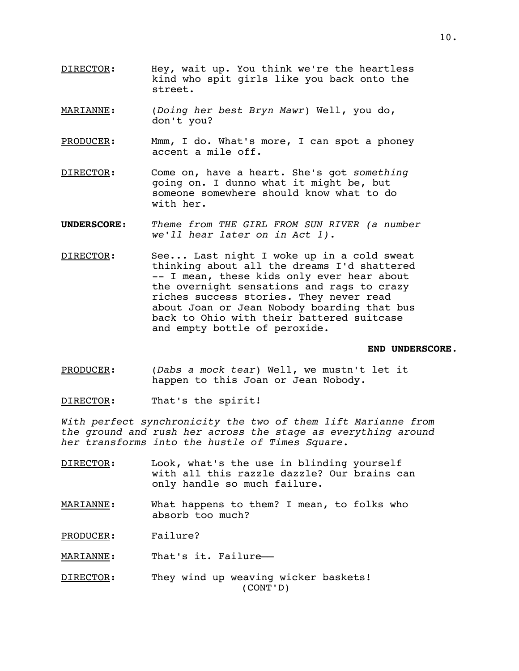- DIRECTOR: Hey, wait up. You think we're the heartless kind who spit girls like you back onto the street.
- MARIANNE: (*Doing her best Bryn Mawr*) Well, you do, don't you?
- PRODUCER: Mmm, I do. What's more, I can spot a phoney accent a mile off.
- DIRECTOR: Come on, have a heart. She's got *something* going on. I dunno what it might be, but someone somewhere should know what to do with her.
- **UNDERSCORE**: *Theme from THE GIRL FROM SUN RIVER (a number we'll hear later on in Act 1)*.
- DIRECTOR: See... Last night I woke up in a cold sweat thinking about all the dreams I'd shattered -- I mean, these kids only ever hear about the overnight sensations and rags to crazy riches success stories. They never read about Joan or Jean Nobody boarding that bus back to Ohio with their battered suitcase and empty bottle of peroxide.

### **END UNDERSCORE**.

PRODUCER: (*Dabs a mock tear*) Well, we mustn't let it happen to this Joan or Jean Nobody.

DIRECTOR: That's the spirit!

*With perfect synchronicity the two of them lift Marianne from the ground and rush her across the stage as everything around her transforms into the hustle of Times Square.*

- DIRECTOR: Look, what's the use in blinding yourself with all this razzle dazzle? Our brains can only handle so much failure.
- MARIANNE: What happens to them? I mean, to folks who absorb too much?

PRODUCER: Failure?

MARIANNE: That's it. Failure-

DIRECTOR: They wind up weaving wicker baskets! (CONT'D)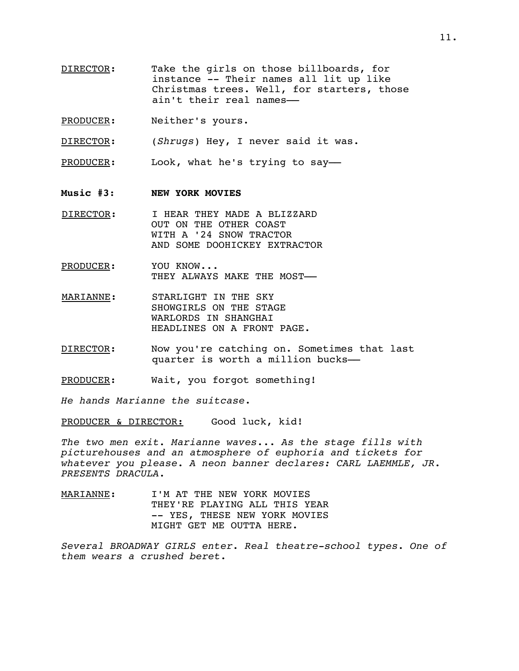- DIRECTOR: Take the girls on those billboards, for instance -- Their names all lit up like Christmas trees. Well, for starters, those ain't their real names––
- PRODUCER: Neither's yours.

DIRECTOR: (*Shrugs*) Hey, I never said it was.

PRODUCER: Look, what he's trying to say-

- **Music #3**: **NEW YORK MOVIES**
- DIRECTOR: I HEAR THEY MADE A BLIZZARD OUT ON THE OTHER COAST WITH A '24 SNOW TRACTOR AND SOME DOOHICKEY EXTRACTOR
- PRODUCER: YOU KNOW... THEY ALWAYS MAKE THE MOST-
- MARIANNE: STARLIGHT IN THE SKY SHOWGIRLS ON THE STAGE WARLORDS IN SHANGHAI HEADLINES ON A FRONT PAGE.
- DIRECTOR: Now you're catching on. Sometimes that last quarter is worth a million bucks––
- PRODUCER: Wait, you forgot something!

*He hands Marianne the suitcase*.

PRODUCER & DIRECTOR: Good luck, kid!

*The two men exit. Marianne waves*... *As the stage fills with picturehouses and an atmosphere of euphoria and tickets for whatever you please. A neon banner declares: CARL LAEMMLE, JR. PRESENTS DRACULA.*

MARIANNE: I'M AT THE NEW YORK MOVIES THEY'RE PLAYING ALL THIS YEAR -- YES, THESE NEW YORK MOVIES MIGHT GET ME OUTTA HERE.

*Several BROADWAY GIRLS enter*. *Real theatre-school types*. *One of them wears a crushed beret*.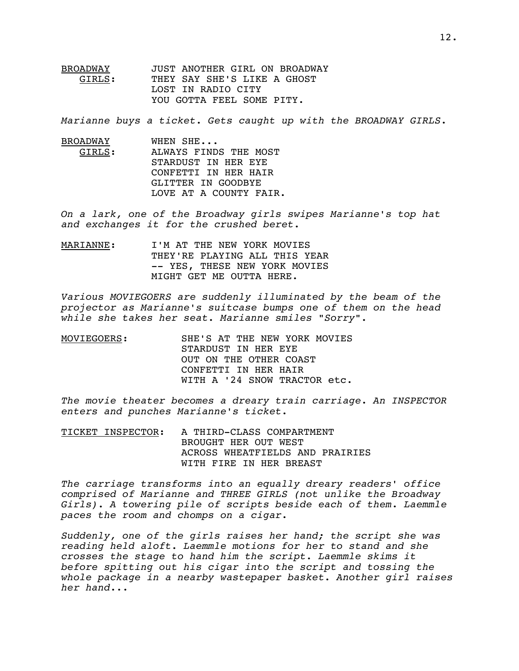BROADWAY JUST ANOTHER GIRL ON BROADWAY<br>GIRLS: THEY SAY SHE'S LIKE A GHOST THEY SAY SHE'S LIKE A GHOST LOST IN RADIO CITY YOU GOTTA FEEL SOME PITY.

*Marianne buys a ticket. Gets caught up with the BROADWAY GIRLS*.

BROADWAY WHEN SHE... GIRLS: ALWAYS FINDS THE MOST STARDUST IN HER EYE CONFETTI IN HER HAIR GLITTER IN GOODBYE LOVE AT A COUNTY FAIR.

*On a lark, one of the Broadway girls swipes Marianne's top hat and exchanges it for the crushed beret.*

MARIANNE: I'M AT THE NEW YORK MOVIES THEY'RE PLAYING ALL THIS YEAR -- YES, THESE NEW YORK MOVIES MIGHT GET ME OUTTA HERE.

*Various MOVIEGOERS are suddenly illuminated by the beam of the projector as Marianne's suitcase bumps one of them on the head while she takes her seat. Marianne smiles "Sorry".*

MOVIEGOERS: SHE'S AT THE NEW YORK MOVIES STARDUST IN HER EYE OUT ON THE OTHER COAST CONFETTI IN HER HAIR WITH A '24 SNOW TRACTOR etc.

*The movie theater becomes a dreary train carriage*. *An INSPECTOR enters and punches Marianne's ticket*.

TICKET INSPECTOR: A THIRD-CLASS COMPARTMENT BROUGHT HER OUT WEST ACROSS WHEATFIELDS AND PRAIRIES WITH FIRE IN HER BREAST

*The carriage transforms into an equally dreary readers' office comprised of Marianne and THREE GIRLS (not unlike the Broadway Girls). A towering pile of scripts beside each of them*. *Laemmle paces the room and chomps on a cigar*.

*Suddenly, one of the girls raises her hand; the script she was reading held aloft. Laemmle motions for her to stand and she crosses the stage to hand him the script. Laemmle skims it before spitting out his cigar into the script and tossing the whole package in a nearby wastepaper basket. Another girl raises her hand*...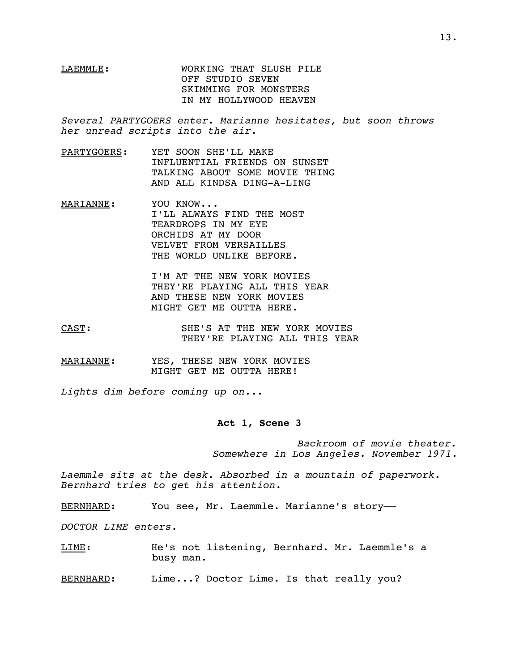# LAEMMLE: WORKING THAT SLUSH PILE OFF STUDIO SEVEN SKIMMING FOR MONSTERS IN MY HOLLYWOOD HEAVEN

*Several PARTYGOERS enter. Marianne hesitates, but soon throws her unread scripts into the air*.

- PARTYGOERS: YET SOON SHE'LL MAKE INFLUENTIAL FRIENDS ON SUNSET TALKING ABOUT SOME MOVIE THING AND ALL KINDSA DING-A-LING
- MARIANNE: YOU KNOW... I'LL ALWAYS FIND THE MOST TEARDROPS IN MY EYE ORCHIDS AT MY DOOR VELVET FROM VERSAILLES THE WORLD UNLIKE BEFORE.

I'M AT THE NEW YORK MOVIES THEY'RE PLAYING ALL THIS YEAR AND THESE NEW YORK MOVIES MIGHT GET ME OUTTA HERE.

- CAST: SHE'S AT THE NEW YORK MOVIES THEY'RE PLAYING ALL THIS YEAR
- MARIANNE: YES, THESE NEW YORK MOVIES MIGHT GET ME OUTTA HERE!

*Lights dim before coming up on*...

#### **Act 1, Scene 3**

*Backroom of movie theater. Somewhere in Los Angeles*. *November 1971*.

*Laemmle sits at the desk. Absorbed in a mountain of paperwork. Bernhard tries to get his attention*.

BERNHARD: You see, Mr. Laemmle. Marianne's story-

*DOCTOR LIME enters.*

LIME: He's not listening, Bernhard. Mr. Laemmle's a busy man.

BERNHARD: Lime...? Doctor Lime. Is that really you?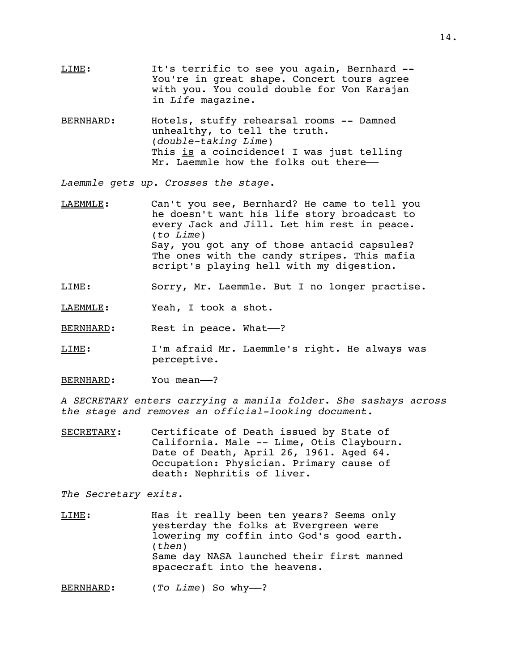- LIME: It's terrific to see you again, Bernhard --You're in great shape. Concert tours agree with you. You could double for Von Karajan in *Life* magazine.
- BERNHARD: Hotels, stuffy rehearsal rooms -- Damned unhealthy, to tell the truth. (*double-taking Lime*) This is a coincidence! I was just telling Mr. Laemmle how the folks out there-

*Laemmle gets up. Crosses the stage.*

- LAEMMLE: Can't you see, Bernhard? He came to tell you he doesn't want his life story broadcast to every Jack and Jill. Let him rest in peace. (*to Lime*) Say, you got any of those antacid capsules? The ones with the candy stripes. This mafia script's playing hell with my digestion.
- LIME: Sorry, Mr. Laemmle. But I no longer practise.
- LAEMMLE: Yeah, I took a shot.

BERNHARD: Rest in peace. What--?

- LIME: I'm afraid Mr. Laemmle's right. He always was perceptive.
- BERNHARD: You mean--?

*A SECRETARY enters carrying a manila folder. She sashays across the stage and removes an official-looking document.*

SECRETARY: Certificate of Death issued by State of California. Male -- Lime, Otis Claybourn. Date of Death, April 26, 1961. Aged 64. Occupation: Physician. Primary cause of death: Nephritis of liver.

*The Secretary exits*.

LIME: Has it really been ten years? Seems only yesterday the folks at Evergreen were lowering my coffin into God's good earth. (*then*) Same day NASA launched their first manned spacecraft into the heavens.

BERNHARD: (*To Lime*) So why--?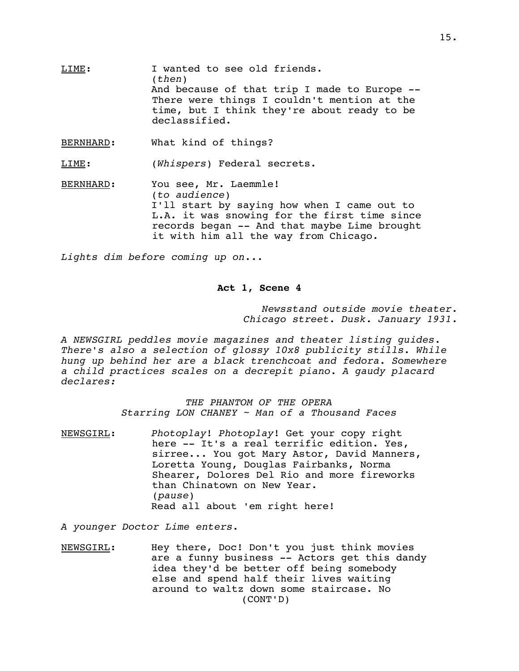LIME: I wanted to see old friends. (*then*) And because of that trip I made to Europe -- There were things I couldn't mention at the time, but I think they're about ready to be declassified.

BERNHARD: What kind of things?

LIME: (*Whispers*) Federal secrets.

BERNHARD: You see, Mr. Laemmle! (*to audience*) I'll start by saying how when I came out to L.A. it was snowing for the first time since records began -- And that maybe Lime brought it with him all the way from Chicago.

*Lights dim before coming up on*...

#### **Act 1, Scene 4**

 *Newsstand outside movie theater*. *Chicago street. Dusk. January 1931*.

*A NEWSGIRL peddles movie magazines and theater listing guides. There's also a selection of glossy 10x8 publicity stills. While hung up behind her are a black trenchcoat and fedora. Somewhere a child practices scales on a decrepit piano. A gaudy placard declares:*

> *THE PHANTOM OF THE OPERA Starring LON CHANEY ~ Man of a Thousand Faces*

NEWSGIRL: *Photoplay*! *Photoplay*! Get your copy right here -- It's a real terrific edition. Yes, sirree... You got Mary Astor, David Manners, Loretta Young, Douglas Fairbanks, Norma Shearer, Dolores Del Rio and more fireworks than Chinatown on New Year. (*pause*) Read all about 'em right here!

*A younger Doctor Lime enters*.

NEWSGIRL: Hey there, Doc! Don't you just think movies are a funny business -- Actors get this dandy idea they'd be better off being somebody else and spend half their lives waiting around to waltz down some staircase. No (CONT'D)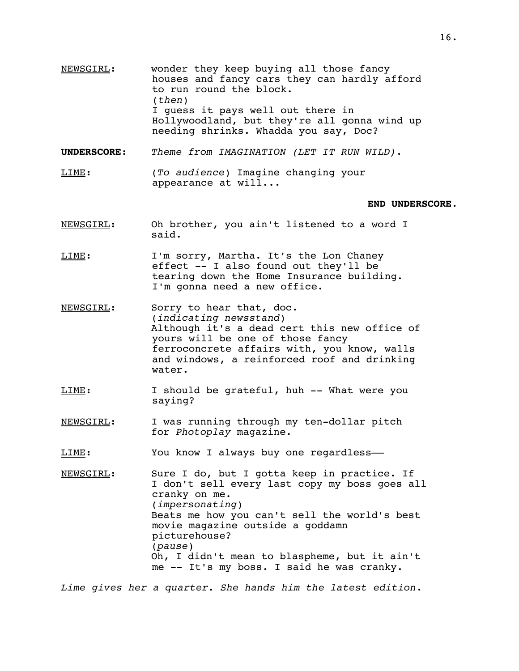- NEWSGIRL: wonder they keep buying all those fancy houses and fancy cars they can hardly afford to run round the block. (*then*) I guess it pays well out there in Hollywoodland, but they're all gonna wind up needing shrinks. Whadda you say, Doc?
- **UNDERSCORE**: *Theme from IMAGINATION (LET IT RUN WILD)*.
- LIME: (*To audience*) Imagine changing your appearance at will...

#### **END UNDERSCORE**.

- NEWSGIRL: Oh brother, you ain't listened to a word I said.
- LIME: I'm sorry, Martha. It's the Lon Chaney effect -- I also found out they'll be tearing down the Home Insurance building. I'm gonna need a new office.
- NEWSGIRL: Sorry to hear that, doc. (*indicating newsstand*) Although it's a dead cert this new office of yours will be one of those fancy ferroconcrete affairs with, you know, walls and windows, a reinforced roof and drinking water.
- LIME: I should be grateful, huh -- What were you saying?
- NEWSGIRL: I was running through my ten-dollar pitch for *Photoplay* magazine.
- LIME: You know I always buy one regardless-
- NEWSGIRL: Sure I do, but I gotta keep in practice. If I don't sell every last copy my boss goes all cranky on me. (*impersonating*) Beats me how you can't sell the world's best movie magazine outside a goddamn picturehouse? (*pause*) Oh, I didn't mean to blaspheme, but it ain't me -- It's my boss. I said he was cranky.
- *Lime gives her a quarter. She hands him the latest edition*.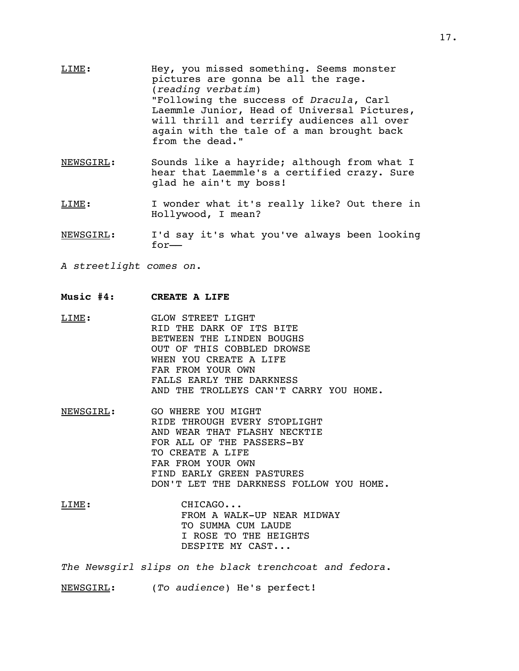- LIME: Hey, you missed something. Seems monster pictures are gonna be all the rage. (*reading verbatim*) "Following the success of *Dracula*, Carl Laemmle Junior, Head of Universal Pictures, will thrill and terrify audiences all over again with the tale of a man brought back from the dead."
- NEWSGIRL: Sounds like a hayride; although from what I hear that Laemmle's a certified crazy. Sure glad he ain't my boss!
- LIME: I wonder what it's really like? Out there in Hollywood, I mean?
- NEWSGIRL: I'd say it's what you've always been looking for––
- *A streetlight comes on*.
- **Music #4: CREATE A LIFE**
- LIME: GLOW STREET LIGHT RID THE DARK OF ITS BITE BETWEEN THE LINDEN BOUGHS OUT OF THIS COBBLED DROWSE WHEN YOU CREATE A LIFE FAR FROM YOUR OWN FALLS EARLY THE DARKNESS AND THE TROLLEYS CAN'T CARRY YOU HOME.
- NEWSGIRL: GO WHERE YOU MIGHT RIDE THROUGH EVERY STOPLIGHT AND WEAR THAT FLASHY NECKTIE FOR ALL OF THE PASSERS-BY TO CREATE A LIFE FAR FROM YOUR OWN FIND EARLY GREEN PASTURES DON'T LET THE DARKNESS FOLLOW YOU HOME.
- LIME: CHICAGO... FROM A WALK-UP NEAR MIDWAY TO SUMMA CUM LAUDE I ROSE TO THE HEIGHTS DESPITE MY CAST...

*The Newsgirl slips on the black trenchcoat and fedora*.

NEWSGIRL: (*To audience*) He's perfect!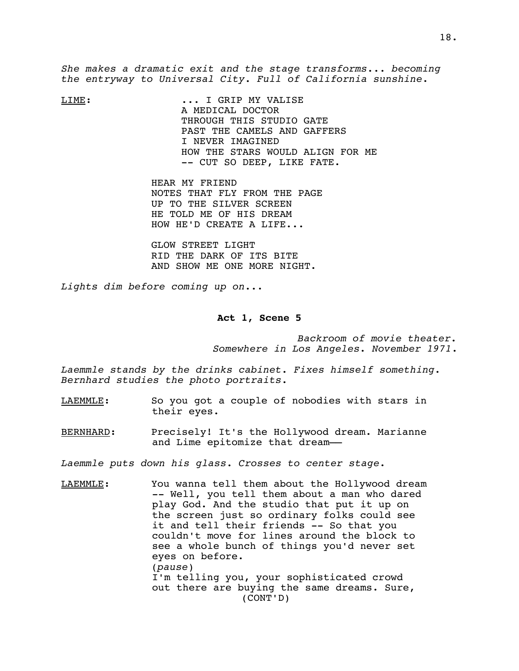*She makes a dramatic exit and the stage transforms... becoming the entryway to Universal City. Full of California sunshine*.

LIME: ... I GRIP MY VALISE A MEDICAL DOCTOR THROUGH THIS STUDIO GATE PAST THE CAMELS AND GAFFERS I NEVER IMAGINED HOW THE STARS WOULD ALIGN FOR ME -- CUT SO DEEP, LIKE FATE.

> HEAR MY FRIEND NOTES THAT FLY FROM THE PAGE UP TO THE SILVER SCREEN HE TOLD ME OF HIS DREAM HOW HE'D CREATE A LIFE...

GLOW STREET LIGHT RID THE DARK OF ITS BITE AND SHOW ME ONE MORE NIGHT.

*Lights dim before coming up on..*.

#### **Act 1, Scene 5**

*Backroom of movie theater. Somewhere in Los Angeles*. *November 1971*.

*Laemmle stands by the drinks cabinet. Fixes himself something. Bernhard studies the photo portraits.*

- LAEMMLE: So you got a couple of nobodies with stars in their eyes.
- BERNHARD: Precisely! It's the Hollywood dream. Marianne and Lime epitomize that dream––

*Laemmle puts down his glass. Crosses to center stage*.

LAEMMLE: You wanna tell them about the Hollywood dream -- Well, you tell them about a man who dared play God. And the studio that put it up on the screen just so ordinary folks could see it and tell their friends -- So that you couldn't move for lines around the block to see a whole bunch of things you'd never set eyes on before. (*pause*) I'm telling you, your sophisticated crowd out there are buying the same dreams. Sure, (CONT'D)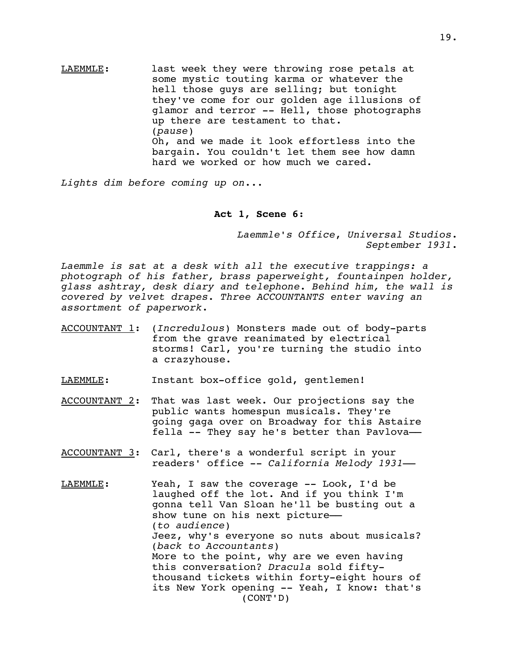LAEMMLE: last week they were throwing rose petals at some mystic touting karma or whatever the hell those guys are selling; but tonight they've come for our golden age illusions of glamor and terror -- Hell, those photographs up there are testament to that. (*pause*) Oh, and we made it look effortless into the bargain. You couldn't let them see how damn hard we worked or how much we cared.

*Lights dim before coming up on*...

### **Act 1, Scene 6**:

*Laemmle's Office*, *Universal Studios*. *September 1931*.

*Laemmle is sat at a desk with all the executive trappings: a photograph of his father, brass paperweight, fountainpen holder, glass ashtray, desk diary and telephone. Behind him, the wall is covered by velvet drapes. Three ACCOUNTANTS enter waving an assortment of paperwork*.

- ACCOUNTANT 1: (*Incredulous*) Monsters made out of body-parts from the grave reanimated by electrical storms! Carl, you're turning the studio into a crazyhouse.
- LAEMMLE: Instant box-office gold, gentlemen!
- ACCOUNTANT 2: That was last week. Our projections say the public wants homespun musicals. They're going gaga over on Broadway for this Astaire fella -- They say he's better than Pavlova––
- ACCOUNTANT 3: Carl, there's a wonderful script in your readers' office -- *California Melody 1931*––
- LAEMMLE: Yeah, I saw the coverage -- Look, I'd be laughed off the lot. And if you think I'm gonna tell Van Sloan he'll be busting out a show tune on his next picture-(*to audience*) Jeez, why's everyone so nuts about musicals? (*back to Accountants*) More to the point, why are we even having this conversation? *Dracula* sold fiftythousand tickets within forty-eight hours of its New York opening -- Yeah, I know: that's (CONT'D)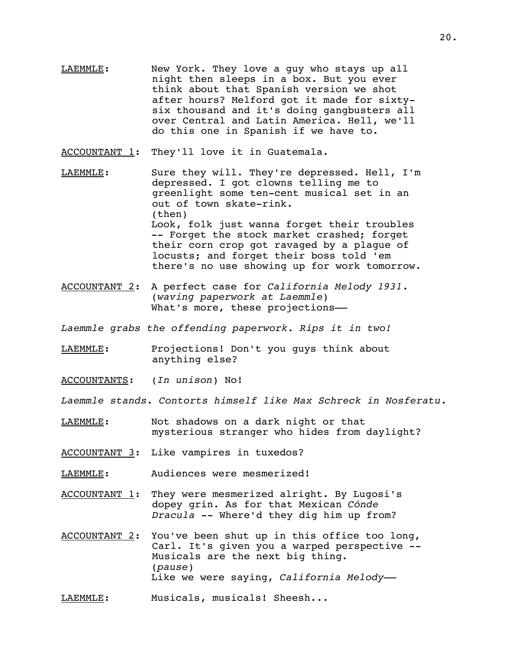LAEMMLE: New York. They love a guy who stays up all night then sleeps in a box. But you ever think about that Spanish version we shot after hours? Melford got it made for sixtysix thousand and it's doing gangbusters all over Central and Latin America. Hell, we'll do this one in Spanish if we have to.

ACCOUNTANT 1: They'll love it in Guatemala.

- LAEMMLE: Sure they will. They're depressed. Hell, I'm depressed. I got clowns telling me to greenlight some ten-cent musical set in an out of town skate-rink. (then) Look, folk just wanna forget their troubles -- Forget the stock market crashed; forget their corn crop got ravaged by a plague of locusts; and forget their boss told 'em there's no use showing up for work tomorrow.
- ACCOUNTANT 2: A perfect case for *California Melody 1931*. (*waving paperwork at Laemmle*) What's more, these projections-
- *Laemmle grabs the offending paperwork. Rips it in two!*
- LAEMMLE: Projections! Don't you guys think about anything else?
- ACCOUNTANTS: (*In unison*) No!
- *Laemmle stands. Contorts himself like Max Schreck in Nosferatu*.
- LAEMMLE: Not shadows on a dark night or that mysterious stranger who hides from daylight?
- ACCOUNTANT 3: Like vampires in tuxedos?
- LAEMMLE: Audiences were mesmerized!
- ACCOUNTANT 1: They were mesmerized alright. By Lugosi's dopey grin. As for that Mexican *Cónde Dracula* -- Where'd they dig him up from?
- ACCOUNTANT 2: You've been shut up in this office too long, Carl. It's given you a warped perspective -- Musicals are the next big thing. (*pause*) Like we were saying, *California Melody*––

LAEMMLE: Musicals, musicals! Sheesh...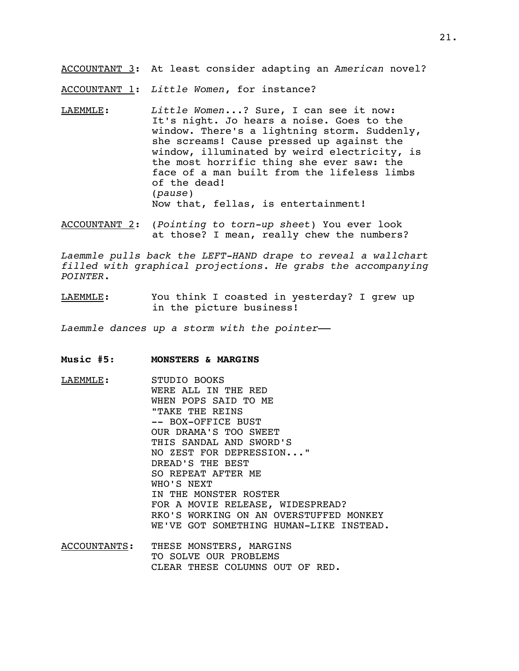ACCOUNTANT 3: At least consider adapting an *American* novel?

ACCOUNTANT 1: *Little Women*, for instance?

- LAEMMLE: *Little Women*...? Sure, I can see it now: It's night. Jo hears a noise. Goes to the window. There's a lightning storm. Suddenly, she screams! Cause pressed up against the window, illuminated by weird electricity, is the most horrific thing she ever saw: the face of a man built from the lifeless limbs of the dead! (*pause*) Now that, fellas, is entertainment!
- ACCOUNTANT 2: (*Pointing to torn-up sheet*) You ever look at those? I mean, really chew the numbers?

*Laemmle pulls back the LEFT-HAND drape to reveal a wallchart filled with graphical projections. He grabs the accompanying POINTER*.

LAEMMLE: You think I coasted in yesterday? I grew up in the picture business!

*Laemmle dances up a storm with the pointer*––

- **Music #5**: **MONSTERS & MARGINS**
- LAEMMLE: STUDIO BOOKS WERE ALL IN THE RED WHEN POPS SAID TO ME "TAKE THE REINS -- BOX-OFFICE BUST OUR DRAMA'S TOO SWEET THIS SANDAL AND SWORD'S NO ZEST FOR DEPRESSION..." DREAD'S THE BEST SO REPEAT AFTER ME WHO'S NEXT IN THE MONSTER ROSTER FOR A MOVIE RELEASE, WIDESPREAD? RKO'S WORKING ON AN OVERSTUFFED MONKEY WE'VE GOT SOMETHING HUMAN-LIKE INSTEAD.
- ACCOUNTANTS: THESE MONSTERS, MARGINS TO SOLVE OUR PROBLEMS CLEAR THESE COLUMNS OUT OF RED.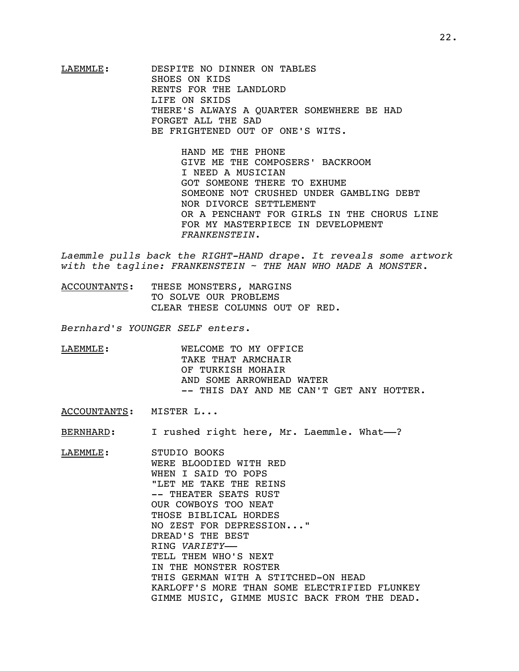LAEMMLE: DESPITE NO DINNER ON TABLES SHOES ON KIDS RENTS FOR THE LANDLORD LIFE ON SKIDS THERE'S ALWAYS A QUARTER SOMEWHERE BE HAD FORGET ALL THE SAD BE FRIGHTENED OUT OF ONE'S WITS.

> HAND ME THE PHONE GIVE ME THE COMPOSERS' BACKROOM I NEED A MUSICIAN GOT SOMEONE THERE TO EXHUME SOMEONE NOT CRUSHED UNDER GAMBLING DEBT NOR DIVORCE SETTLEMENT OR A PENCHANT FOR GIRLS IN THE CHORUS LINE FOR MY MASTERPIECE IN DEVELOPMENT *FRANKENSTEIN*.

*Laemmle pulls back the RIGHT-HAND drape. It reveals some artwork with the tagline: FRANKENSTEIN ~ THE MAN WHO MADE A MONSTER.*

ACCOUNTANTS: THESE MONSTERS, MARGINS TO SOLVE OUR PROBLEMS CLEAR THESE COLUMNS OUT OF RED.

*Bernhard's YOUNGER SELF enters*.

LAEMMLE: WELCOME TO MY OFFICE TAKE THAT ARMCHAIR OF TURKISH MOHAIR AND SOME ARROWHEAD WATER -- THIS DAY AND ME CAN'T GET ANY HOTTER.

ACCOUNTANTS: MISTER L...

BERNHARD: I rushed right here, Mr. Laemmle. What--?

LAEMMLE: STUDIO BOOKS WERE BLOODIED WITH RED WHEN I SAID TO POPS "LET ME TAKE THE REINS -- THEATER SEATS RUST OUR COWBOYS TOO NEAT THOSE BIBLICAL HORDES NO ZEST FOR DEPRESSION..." DREAD'S THE BEST RING *VARIETY*–– TELL THEM WHO'S NEXT IN THE MONSTER ROSTER THIS GERMAN WITH A STITCHED-ON HEAD KARLOFF'S MORE THAN SOME ELECTRIFIED FLUNKEY GIMME MUSIC, GIMME MUSIC BACK FROM THE DEAD.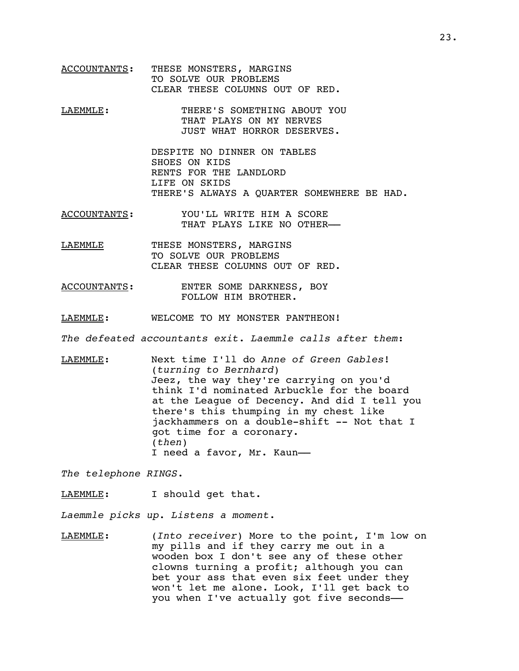- ACCOUNTANTS: THESE MONSTERS, MARGINS TO SOLVE OUR PROBLEMS CLEAR THESE COLUMNS OUT OF RED.
- LAEMMLE: THERE'S SOMETHING ABOUT YOU THAT PLAYS ON MY NERVES JUST WHAT HORROR DESERVES.

DESPITE NO DINNER ON TABLES SHOES ON KIDS RENTS FOR THE LANDLORD LIFE ON SKIDS THERE'S ALWAYS A QUARTER SOMEWHERE BE HAD.

- ACCOUNTANTS: YOU'LL WRITE HIM A SCORE THAT PLAYS LIKE NO OTHER––
- LAEMMLE THESE MONSTERS, MARGINS TO SOLVE OUR PROBLEMS CLEAR THESE COLUMNS OUT OF RED.
- ACCOUNTANTS: ENTER SOME DARKNESS, BOY FOLLOW HIM BROTHER.
- LAEMMLE: WELCOME TO MY MONSTER PANTHEON!

*The defeated accountants exit*. *Laemmle calls after them*:

LAEMMLE: Next time I'll do *Anne of Green Gables*! (*turning to Bernhard*) Jeez, the way they're carrying on you'd think I'd nominated Arbuckle for the board at the League of Decency. And did I tell you there's this thumping in my chest like jackhammers on a double-shift -- Not that I got time for a coronary. (*then*) I need a favor, Mr. Kaun-

*The telephone RINGS*.

LAEMMLE: I should get that.

*Laemmle picks up. Listens a moment*.

LAEMMLE: (*Into receiver*) More to the point, I'm low on my pills and if they carry me out in a wooden box I don't see any of these other clowns turning a profit; although you can bet your ass that even six feet under they won't let me alone. Look, I'll get back to you when I've actually got five seconds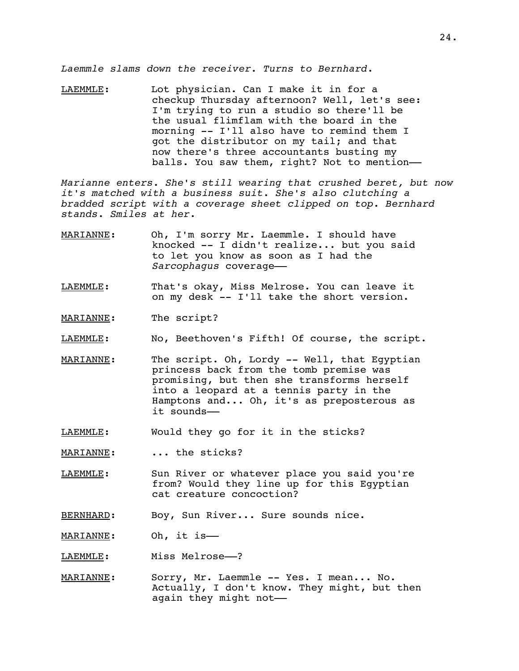*Laemmle slams down the receiver. Turns to Bernhard*.

LAEMMLE: Lot physician. Can I make it in for a checkup Thursday afternoon? Well, let's see: I'm trying to run a studio so there'll be the usual flimflam with the board in the morning -- I'll also have to remind them I got the distributor on my tail; and that now there's three accountants busting my balls. You saw them, right? Not to mention-

*Marianne enters. She's still wearing that crushed beret, but now it's matched with a business suit. She's also clutching a bradded script with a coverage sheet clipped on top*. *Bernhard stands*. *Smiles at her*.

- MARIANNE: Oh, I'm sorry Mr. Laemmle. I should have knocked -- I didn't realize... but you said to let you know as soon as I had the *Sarcophagus* coverage––
- LAEMMLE: That's okay, Miss Melrose. You can leave it on my desk -- I'll take the short version.
- MARIANNE: The script?
- LAEMMLE: No, Beethoven's Fifth! Of course, the script.
- MARIANNE: The script. Oh, Lordy -- Well, that Egyptian princess back from the tomb premise was promising, but then she transforms herself into a leopard at a tennis party in the Hamptons and... Oh, it's as preposterous as it sounds––
- LAEMMLE: Would they go for it in the sticks?
- MARIANNE: ... the sticks?
- LAEMMLE: Sun River or whatever place you said you're from? Would they line up for this Egyptian cat creature concoction?
- BERNHARD: Boy, Sun River... Sure sounds nice.
- MARIANNE: Oh, it is-
- LAEMMLE: Miss Melrose---?
- MARIANNE: Sorry, Mr. Laemmle -- Yes. I mean... No. Actually, I don't know. They might, but then again they might not-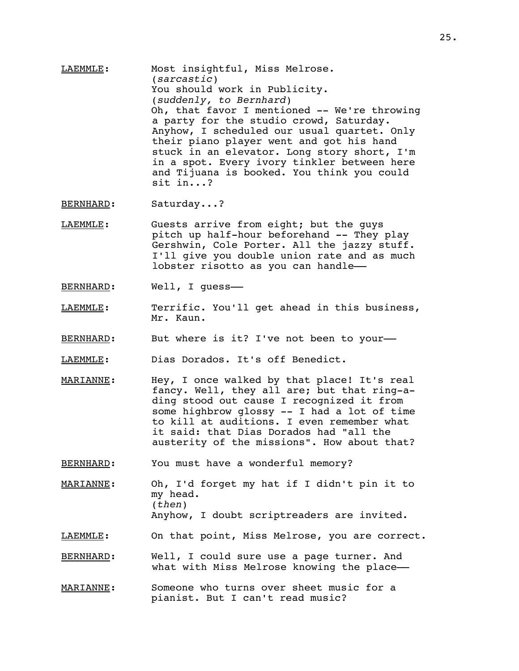LAEMMLE: Most insightful, Miss Melrose. (*sarcastic*) You should work in Publicity. (*suddenly, to Bernhard*) Oh, that favor I mentioned -- We're throwing a party for the studio crowd, Saturday. Anyhow, I scheduled our usual quartet. Only their piano player went and got his hand stuck in an elevator. Long story short, I'm in a spot. Every ivory tinkler between here and Tijuana is booked. You think you could sit in...?

BERNHARD: Saturday...?

- LAEMMLE: Guests arrive from eight; but the guys pitch up half-hour beforehand -- They play Gershwin, Cole Porter. All the jazzy stuff. I'll give you double union rate and as much lobster risotto as you can handle––
- BERNHARD: Well, I guess-
- LAEMMLE: Terrific. You'll get ahead in this business, Mr. Kaun.
- BERNHARD: But where is it? I've not been to your-

LAEMMLE: Dias Dorados. It's off Benedict.

- MARIANNE: Hey, I once walked by that place! It's real fancy. Well, they all are; but that ring-ading stood out cause I recognized it from some highbrow glossy -- I had a lot of time to kill at auditions. I even remember what it said: that Dias Dorados had "all the austerity of the missions". How about that?
- BERNHARD: You must have a wonderful memory?
- MARIANNE: Oh, I'd forget my hat if I didn't pin it to my head. (*then*) Anyhow, I doubt scriptreaders are invited.
- LAEMMLE: On that point, Miss Melrose, you are correct.
- BERNHARD: Well, I could sure use a page turner. And what with Miss Melrose knowing the place-
- MARIANNE: Someone who turns over sheet music for a pianist. But I can't read music?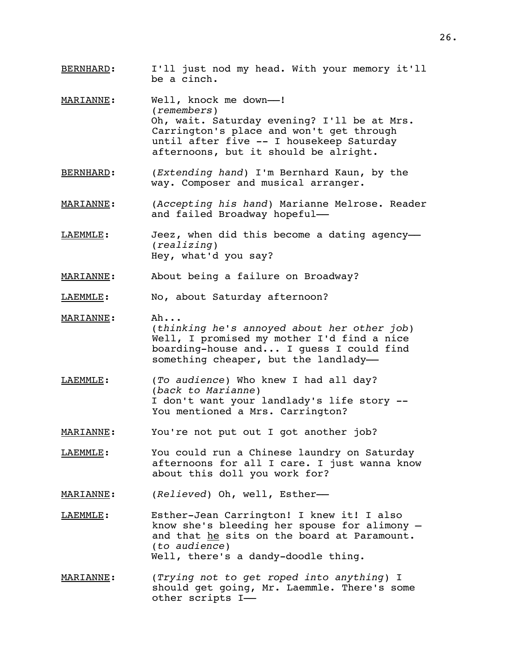- BERNHARD: I'll just nod my head. With your memory it'll be a cinch.
- MARIANNE: Well, knock me down---! (*remembers*) Oh, wait. Saturday evening? I'll be at Mrs. Carrington's place and won't get through until after five -- I housekeep Saturday afternoons, but it should be alright.
- BERNHARD: (*Extending hand*) I'm Bernhard Kaun, by the way. Composer and musical arranger.
- MARIANNE: (*Accepting his hand*) Marianne Melrose. Reader and failed Broadway hopeful––
- LAEMMLE: Jeez, when did this become a dating agency-(*realizing*) Hey, what'd you say?
- MARIANNE: About being a failure on Broadway?
- LAEMMLE: No, about Saturday afternoon?
- MARIANNE: Ah... (*thinking he's annoyed about her other job*) Well, I promised my mother I'd find a nice boarding-house and... I guess I could find something cheaper, but the landlady-
- LAEMMLE: (*To audience*) Who knew I had all day? (*back to Marianne*) I don't want your landlady's life story -- You mentioned a Mrs. Carrington?
- MARIANNE: You're not put out I got another job?
- LAEMMLE: You could run a Chinese laundry on Saturday afternoons for all I care. I just wanna know about this doll you work for?
- MARIANNE: (*Relieved*) Oh, well, Esther––
- LAEMMLE: Esther-Jean Carrington! I knew it! I also know she's bleeding her spouse for alimony – and that he sits on the board at Paramount. (*to audience*) Well, there's a dandy-doodle thing*.*
- MARIANNE: (*Trying not to get roped into anything*) I should get going, Mr. Laemmle. There's some other scripts I––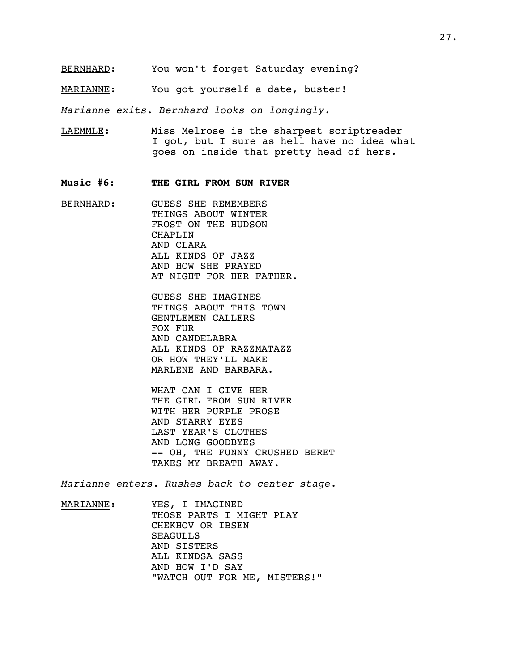- BERNHARD: You won't forget Saturday evening?
- MARIANNE: You got yourself a date, buster!

*Marianne exits*. *Bernhard looks on longingly*.

- LAEMMLE: Miss Melrose is the sharpest scriptreader I got, but I sure as hell have no idea what goes on inside that pretty head of hers.
- **Music #6**: **THE GIRL FROM SUN RIVER**
- BERNHARD: GUESS SHE REMEMBERS THINGS ABOUT WINTER FROST ON THE HUDSON CHAPLIN AND CLARA ALL KINDS OF JAZZ AND HOW SHE PRAYED AT NIGHT FOR HER FATHER.

GUESS SHE IMAGINES THINGS ABOUT THIS TOWN GENTLEMEN CALLERS FOX FUR AND CANDELABRA ALL KINDS OF RAZZMATAZZ OR HOW THEY'LL MAKE MARLENE AND BARBARA.

WHAT CAN I GIVE HER THE GIRL FROM SUN RIVER WITH HER PURPLE PROSE AND STARRY EYES LAST YEAR'S CLOTHES AND LONG GOODBYES -- OH, THE FUNNY CRUSHED BERET TAKES MY BREATH AWAY.

*Marianne enters*. *Rushes back to center stage*.

MARIANNE: YES, I IMAGINED THOSE PARTS I MIGHT PLAY CHEKHOV OR IBSEN SEAGULLS AND SISTERS ALL KINDSA SASS AND HOW I'D SAY "WATCH OUT FOR ME, MISTERS!"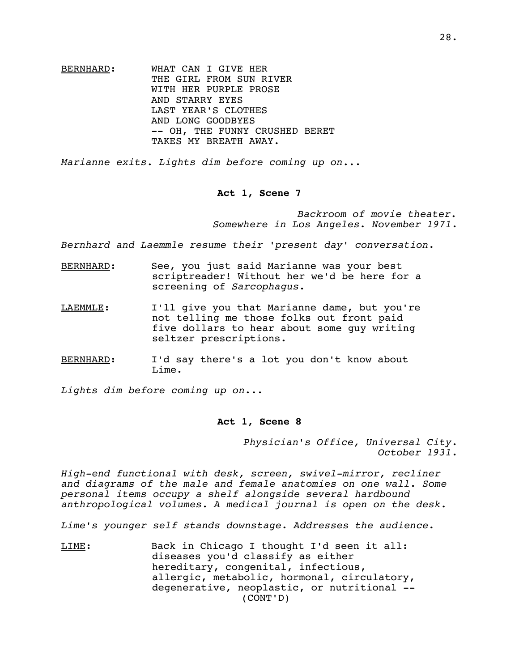BERNHARD: WHAT CAN I GIVE HER THE GIRL FROM SUN RIVER WITH HER PURPLE PROSE AND STARRY EYES LAST YEAR'S CLOTHES AND LONG GOODBYES -- OH, THE FUNNY CRUSHED BERET TAKES MY BREATH AWAY.

*Marianne exits. Lights dim before coming up on..*.

# **Act 1, Scene 7**

*Backroom of movie theater. Somewhere in Los Angeles*. *November 1971*.

*Bernhard and Laemmle resume their 'present day' conversation*.

- BERNHARD: See, you just said Marianne was your best scriptreader! Without her we'd be here for a screening of *Sarcophagus*.
- LAEMMLE: I'll give you that Marianne dame, but you're not telling me those folks out front paid five dollars to hear about some guy writing seltzer prescriptions.
- BERNHARD: I'd say there's a lot you don't know about Lime.

*Lights dim before coming up on*...

### **Act 1, Scene 8**

*Physician's Office, Universal City*. *October 1931*.

*High-end functional with desk, screen, swivel-mirror, recliner and diagrams of the male and female anatomies on one wall. Some personal items occupy a shelf alongside several hardbound anthropological volumes. A medical journal is open on the desk.*

*Lime's younger self stands downstage*. *Addresses the audience*.

LIME: Back in Chicago I thought I'd seen it all: diseases you'd classify as either hereditary, congenital, infectious, allergic, metabolic, hormonal, circulatory, degenerative, neoplastic, or nutritional -- (CONT'D)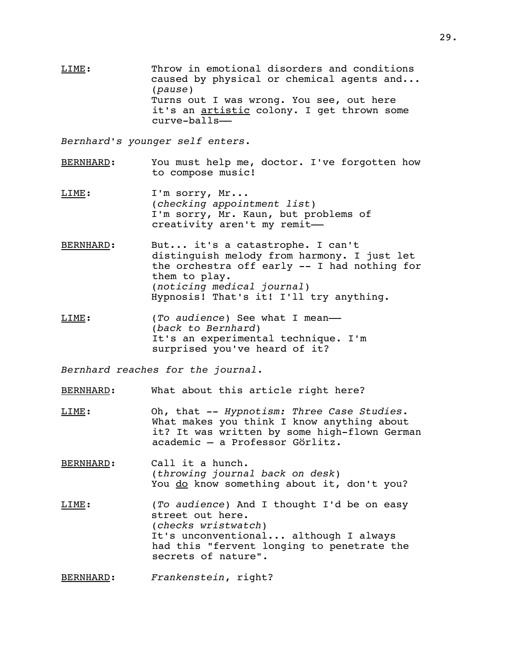LIME: Throw in emotional disorders and conditions caused by physical or chemical agents and... (*pause*) Turns out I was wrong. You see, out here it's an artistic colony. I get thrown some curve-balls––

*Bernhard's younger self enters*.

- BERNHARD: You must help me, doctor. I've forgotten how to compose music!
- LIME: I'm sorry, Mr... (*checking appointment list*) I'm sorry, Mr. Kaun, but problems of creativity aren't my remit-
- BERNHARD: But... it's a catastrophe. I can't distinguish melody from harmony. I just let the orchestra off early -- I had nothing for them to play. (*noticing medical journal*) Hypnosis! That's it! I'll try anything.
- LIME: (*To audience*) See what I mean–– (*back to Bernhard*) It's an experimental technique. I'm surprised you've heard of it?

*Bernhard reaches for the journal*.

BERNHARD: What about this article right here?

- LIME: Oh, that -- *Hypnotism: Three Case Studies*. What makes you think I know anything about it? It was written by some high-flown German academic – a Professor Görlitz.
- BERNHARD: Call it a hunch. (*throwing journal back on desk*) You do know something about it, don't you?
- LIME: (*To audience*) And I thought I'd be on easy street out here. (*checks wristwatch*) It's unconventional... although I always had this "fervent longing to penetrate the secrets of nature".

BERNHARD: *Frankenstein*, right?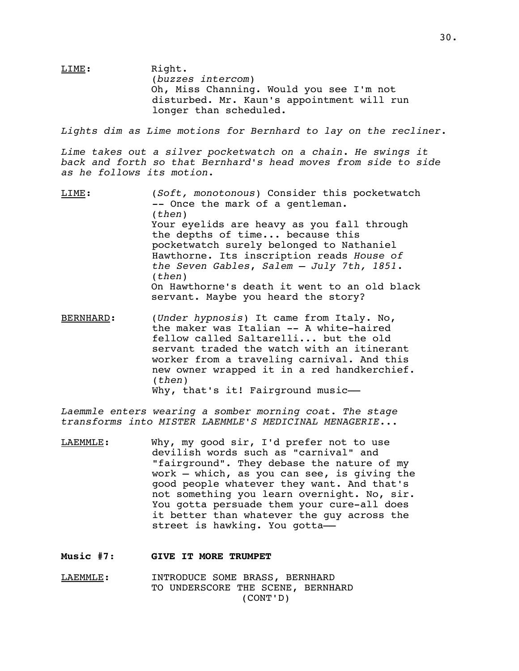LIME: Right. (*buzzes intercom*) Oh, Miss Channing. Would you see I'm not disturbed. Mr. Kaun's appointment will run longer than scheduled.

*Lights dim as Lime motions for Bernhard to lay on the recliner*.

*Lime takes out a silver pocketwatch on a chain*. *He swings it back and forth so that Bernhard's head moves from side to side as he follows its motion*.

- LIME: (*Soft, monotonous*) Consider this pocketwatch -- Once the mark of a gentleman. (*then*) Your eyelids are heavy as you fall through the depths of time... because this pocketwatch surely belonged to Nathaniel Hawthorne. Its inscription reads *House of the Seven Gables*, *Salem – July 7th, 1851*. (*then*) On Hawthorne's death it went to an old black servant. Maybe you heard the story?
- BERNHARD: (*Under hypnosis*) It came from Italy. No, the maker was Italian -- A white-haired fellow called Saltarelli... but the old servant traded the watch with an itinerant worker from a traveling carnival. And this new owner wrapped it in a red handkerchief. (*then*) Why, that's it! Fairground music-

*Laemmle enters wearing a somber morning coat. The stage transforms into MISTER LAEMMLE'S MEDICINAL MENAGERIE*.*..*

- LAEMMLE: Why, my good sir, I'd prefer not to use devilish words such as "carnival" and "fairground". They debase the nature of my work – which, as you can see, is giving the good people whatever they want. And that's not something you learn overnight. No, sir. You gotta persuade them your cure-all does it better than whatever the guy across the street is hawking. You gotta-
- **Music #7**: **GIVE IT MORE TRUMPET**
- LAEMMLE: INTRODUCE SOME BRASS, BERNHARD TO UNDERSCORE THE SCENE, BERNHARD (CONT'D)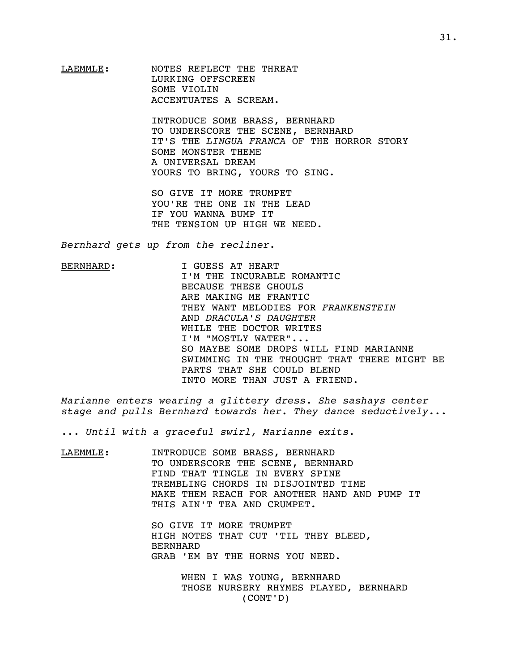LAEMMLE: NOTES REFLECT THE THREAT LURKING OFFSCREEN SOME VIOLIN ACCENTUATES A SCREAM.

> INTRODUCE SOME BRASS, BERNHARD TO UNDERSCORE THE SCENE, BERNHARD IT'S THE *LINGUA FRANCA* OF THE HORROR STORY SOME MONSTER THEME A UNIVERSAL DREAM YOURS TO BRING, YOURS TO SING.

SO GIVE IT MORE TRUMPET YOU'RE THE ONE IN THE LEAD IF YOU WANNA BUMP IT THE TENSION UP HIGH WE NEED.

*Bernhard gets up from the recliner*.

BERNHARD: I GUESS AT HEART I'M THE INCURABLE ROMANTIC BECAUSE THESE GHOULS ARE MAKING ME FRANTIC THEY WANT MELODIES FOR *FRANKENSTEIN* AND *DRACULA'S DAUGHTER* WHILE THE DOCTOR WRITES I'M "MOSTLY WATER"... SO MAYBE SOME DROPS WILL FIND MARIANNE SWIMMING IN THE THOUGHT THAT THERE MIGHT BE PARTS THAT SHE COULD BLEND INTO MORE THAN JUST A FRIEND.

*Marianne enters wearing a glittery dress. She sashays center stage and pulls Bernhard towards her. They dance seductively*...

... *Until with a graceful swirl, Marianne exits*.

LAEMMLE: INTRODUCE SOME BRASS, BERNHARD TO UNDERSCORE THE SCENE, BERNHARD FIND THAT TINGLE IN EVERY SPINE TREMBLING CHORDS IN DISJOINTED TIME MAKE THEM REACH FOR ANOTHER HAND AND PUMP IT THIS AIN'T TEA AND CRUMPET.

> SO GIVE IT MORE TRUMPET HIGH NOTES THAT CUT 'TIL THEY BLEED, BERNHARD GRAB 'EM BY THE HORNS YOU NEED.

> > WHEN I WAS YOUNG, BERNHARD THOSE NURSERY RHYMES PLAYED, BERNHARD (CONT'D)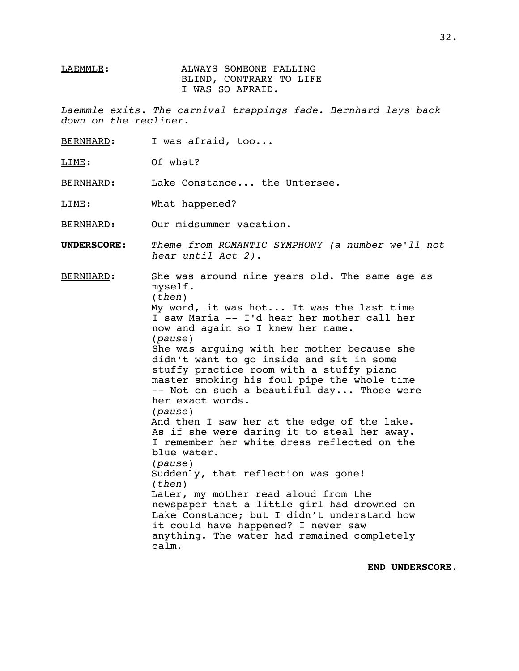# LAEMMLE: ALWAYS SOMEONE FALLING BLIND, CONTRARY TO LIFE I WAS SO AFRAID.

*Laemmle exits*. *The carnival trappings fade*. *Bernhard lays back down on the recliner*.

BERNHARD: I was afraid, too...

LIME: Of what?

BERNHARD: Lake Constance... the Untersee.

LIME: What happened?

BERNHARD: Our midsummer vacation.

**UNDERSCORE**: *Theme from ROMANTIC SYMPHONY (a number we'll not hear until Act 2).*

BERNHARD: She was around nine years old. The same age as myself. (*then*) My word, it was hot... It was the last time I saw Maria -- I'd hear her mother call her now and again so I knew her name. (*pause*) She was arguing with her mother because she didn't want to go inside and sit in some stuffy practice room with a stuffy piano master smoking his foul pipe the whole time -- Not on such a beautiful day... Those were her exact words. (*pause*) And then I saw her at the edge of the lake. As if she were daring it to steal her away. I remember her white dress reflected on the blue water. (*pause*) Suddenly, that reflection was gone! (*then*) Later, my mother read aloud from the newspaper that a little girl had drowned on Lake Constance; but I didn't understand how it could have happened? I never saw anything. The water had remained completely calm.

**END UNDERSCORE**.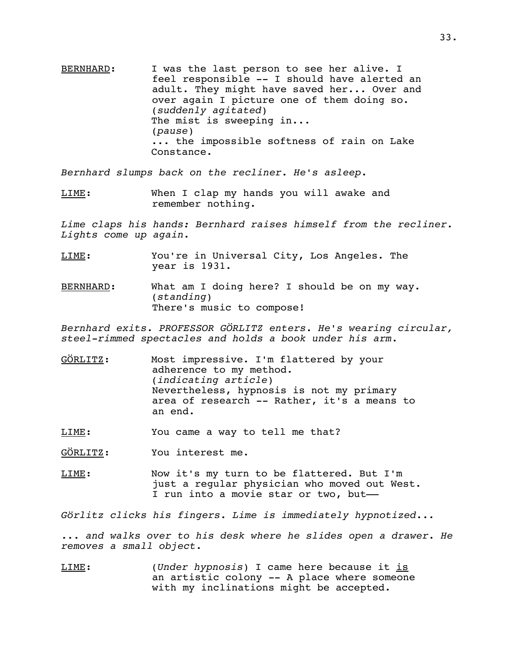BERNHARD: I was the last person to see her alive. I feel responsible -- I should have alerted an adult. They might have saved her... Over and over again I picture one of them doing so. (*suddenly agitated*) The mist is sweeping in... (*pause*) ... the impossible softness of rain on Lake Constance.

*Bernhard slumps back on the recliner. He's asleep*.

LIME: When I clap my hands you will awake and remember nothing.

*Lime claps his hands: Bernhard raises himself from the recliner. Lights come up again*.

- LIME: You're in Universal City, Los Angeles. The year is 1931.
- BERNHARD: What am I doing here? I should be on my way. (*standing*) There's music to compose!

*Bernhard exits*. *PROFESSOR GÖRLITZ enters. He's wearing circular, steel-rimmed spectacles and holds a book under his arm.*

GÖRLITZ: Most impressive. I'm flattered by your adherence to my method. (*indicating article*) Nevertheless, hypnosis is not my primary area of research -- Rather, it's a means to an end.

LIME: You came a way to tell me that?

GÖRLITZ: You interest me.

LIME: Now it's my turn to be flattered. But I'm just a regular physician who moved out West. I run into a movie star or two, but-

*Görlitz clicks his fingers. Lime is immediately hypnotized...*

*... and walks over to his desk where he slides open a drawer*. *He removes a small object*.

LIME: (*Under hypnosis*) I came here because it is an artistic colony -- A place where someone with my inclinations might be accepted.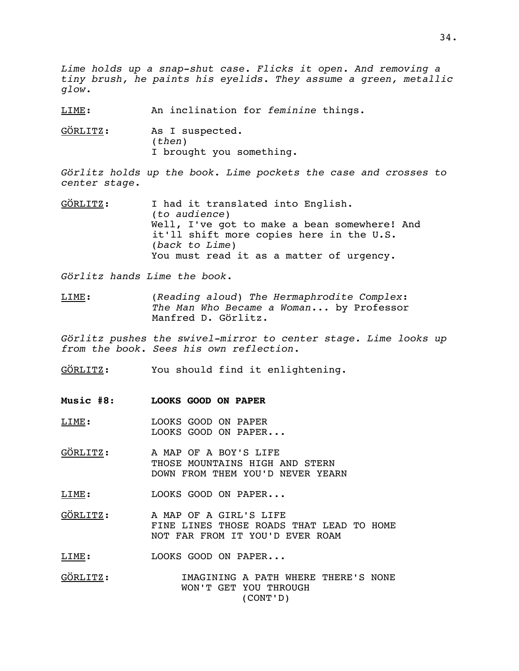*Lime holds up a snap-shut case. Flicks it open. And removing a tiny brush, he paints his eyelids. They assume a green, metallic glow*.

LIME: An inclination for *feminine* things.

GÖRLITZ: As I suspected. (*then*) I brought you something.

*Görlitz holds up the book. Lime pockets the case and crosses to center stage*.

GÖRLITZ: I had it translated into English. (*to audience*) Well, I've got to make a bean somewhere! And it'll shift more copies here in the U.S. (*back to Lime*) You must read it as a matter of urgency.

*Görlitz hands Lime the book*.

LIME: (*Reading aloud*) *The Hermaphrodite Complex*: *The Man Who Became a Woman*... by Professor Manfred D. Görlitz.

*Görlitz pushes the swivel-mirror to center stage. Lime looks up from the book. Sees his own reflection.*

GÖRLITZ: You should find it enlightening.

- **Music #8**: **LOOKS GOOD ON PAPER**
- LIME: LOOKS GOOD ON PAPER LOOKS GOOD ON PAPER...
- GÖRLITZ: A MAP OF A BOY'S LIFE THOSE MOUNTAINS HIGH AND STERN DOWN FROM THEM YOU'D NEVER YEARN

LIME: LOOKS GOOD ON PAPER...

GÖRLITZ: A MAP OF A GIRL'S LIFE FINE LINES THOSE ROADS THAT LEAD TO HOME NOT FAR FROM IT YOU'D EVER ROAM

LIME: LOOKS GOOD ON PAPER...

GÖRLITZ: IMAGINING A PATH WHERE THERE'S NONE WON'T GET YOU THROUGH (CONT'D)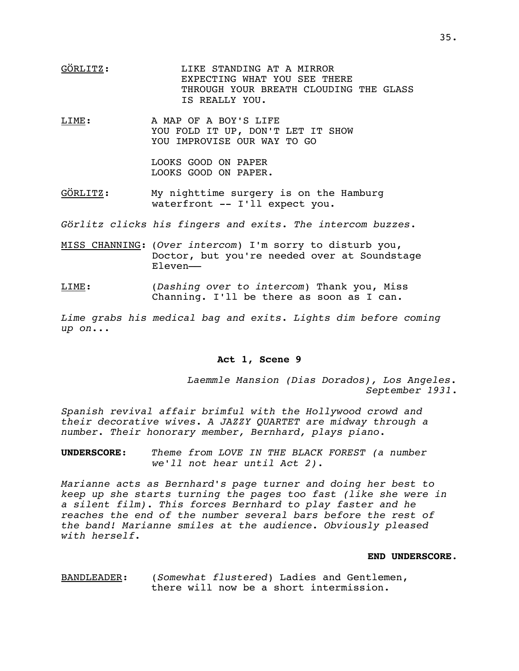- GÖRLITZ: LIKE STANDING AT A MIRROR EXPECTING WHAT YOU SEE THERE THROUGH YOUR BREATH CLOUDING THE GLASS IS REALLY YOU.
- LIME: A MAP OF A BOY'S LIFE YOU FOLD IT UP, DON'T LET IT SHOW YOU IMPROVISE OUR WAY TO GO

LOOKS GOOD ON PAPER LOOKS GOOD ON PAPER.

GÖRLITZ: My nighttime surgery is on the Hamburg waterfront -- I'll expect you.

*Görlitz clicks his fingers and exits*. *The intercom buzzes*.

- MISS CHANNING: (*Over intercom*) I'm sorry to disturb you, Doctor, but you're needed over at Soundstage Eleven––
- LIME: (*Dashing over to intercom*) Thank you, Miss Channing. I'll be there as soon as I can.

*Lime grabs his medical bag and exits*. *Lights dim before coming up on..*.

## **Act 1, Scene 9**

*Laemmle Mansion (Dias Dorados), Los Angeles. September 1931*.

*Spanish revival affair brimful with the Hollywood crowd and their decorative wives. A JAZZY QUARTET are midway through a number. Their honorary member, Bernhard, plays piano.*

**UNDERSCORE**: *Theme from LOVE IN THE BLACK FOREST (a number we'll not hear until Act 2)*.

*Marianne acts as Bernhard's page turner and doing her best to keep up she starts turning the pages too fast (like she were in a silent film). This forces Bernhard to play faster and he reaches the end of the number several bars before the rest of the band! Marianne smiles at the audience. Obviously pleased with herself.*

#### **END UNDERSCORE**.

BANDLEADER: (*Somewhat flustered*) Ladies and Gentlemen, there will now be a short intermission.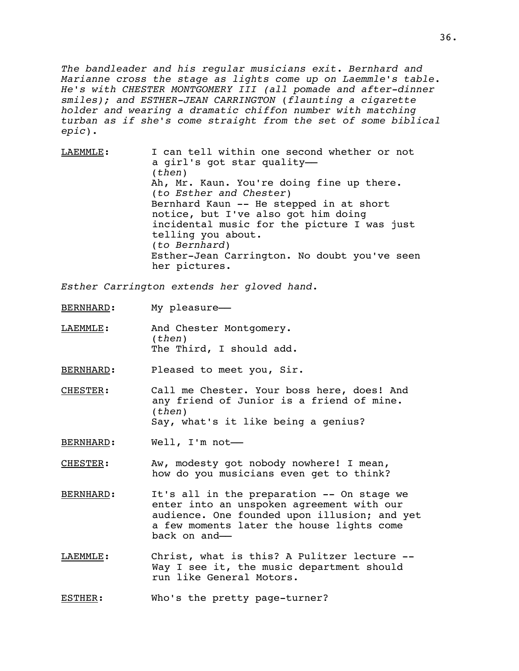*The bandleader and his regular musicians exit*. *Bernhard and Marianne cross the stage as lights come up on Laemmle's table. He's with CHESTER MONTGOMERY III (all pomade and after-dinner smiles); and ESTHER-JEAN CARRINGTON* (*flaunting a cigarette holder and wearing a dramatic chiffon number with matching turban as if she's come straight from the set of some biblical epic*)*.*

LAEMMLE: I can tell within one second whether or not a girl's got star quality–– (*then*) Ah, Mr. Kaun. You're doing fine up there. (*to Esther and Chester*) Bernhard Kaun -- He stepped in at short notice, but I've also got him doing incidental music for the picture I was just telling you about. (*to Bernhard*) Esther-Jean Carrington. No doubt you've seen her pictures.

*Esther Carrington extends her gloved hand*.

BERNHARD: My pleasure-

LAEMMLE: And Chester Montgomery. (*then*) The Third, I should add.

BERNHARD: Pleased to meet you, Sir.

CHESTER: Call me Chester. Your boss here, does! And any friend of Junior is a friend of mine. (*then*) Say, what's it like being a genius?

BERNHARD: Well, I'm not-

CHESTER: Aw, modesty got nobody nowhere! I mean, how do you musicians even get to think?

BERNHARD: It's all in the preparation -- On stage we enter into an unspoken agreement with our audience. One founded upon illusion; and yet a few moments later the house lights come back on and––

LAEMMLE: Christ, what is this? A Pulitzer lecture -- Way I see it, the music department should run like General Motors.

ESTHER: Who's the pretty page-turner?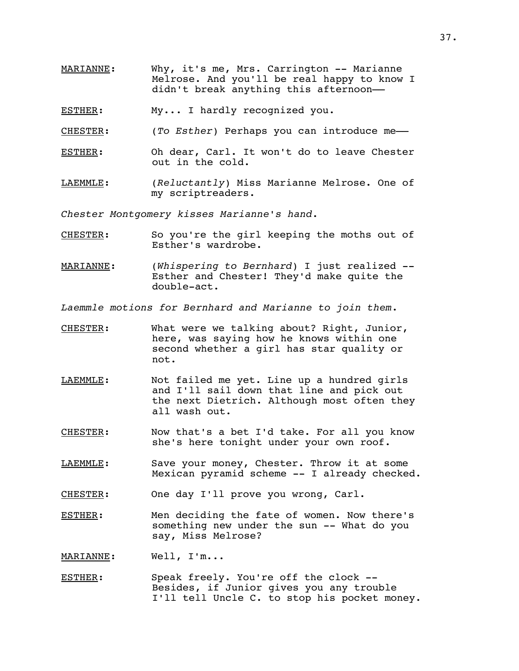- MARIANNE: Why, it's me, Mrs. Carrington -- Marianne Melrose. And you'll be real happy to know I didn't break anything this afternoon-
- ESTHER: My... I hardly recognized you.
- CHESTER: (*To Esther*) Perhaps you can introduce me––
- ESTHER: Oh dear, Carl. It won't do to leave Chester out in the cold.
- LAEMMLE: (*Reluctantly*) Miss Marianne Melrose. One of my scriptreaders.

*Chester Montgomery kisses Marianne's hand*.

- CHESTER: So you're the girl keeping the moths out of Esther's wardrobe.
- MARIANNE: (*Whispering to Bernhard*) I just realized -- Esther and Chester! They'd make quite the double-act.

*Laemmle motions for Bernhard and Marianne to join them*.

- CHESTER: What were we talking about? Right, Junior, here, was saying how he knows within one second whether a girl has star quality or not.
- LAEMMLE: Not failed me yet. Line up a hundred girls and I'll sail down that line and pick out the next Dietrich. Although most often they all wash out.
- CHESTER: Now that's a bet I'd take. For all you know she's here tonight under your own roof.
- LAEMMLE: Save your money, Chester. Throw it at some Mexican pyramid scheme -- I already checked.
- CHESTER: One day I'll prove you wrong, Carl.
- ESTHER: Men deciding the fate of women. Now there's something new under the sun -- What do you say, Miss Melrose?

MARIANNE: Well, I'm...

ESTHER: Speak freely. You're off the clock --Besides, if Junior gives you any trouble I'll tell Uncle C. to stop his pocket money.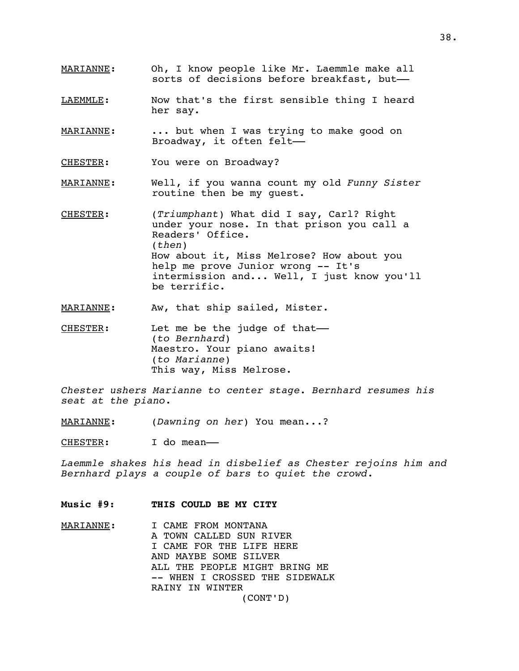- MARIANNE: Oh, I know people like Mr. Laemmle make all sorts of decisions before breakfast, but-
- LAEMMLE: Now that's the first sensible thing I heard her say.
- MARIANNE: ... but when I was trying to make good on Broadway, it often felt––
- CHESTER: You were on Broadway?
- MARIANNE: Well, if you wanna count my old *Funny Sister* routine then be my guest.
- CHESTER: (*Triumphant*) What did I say, Carl? Right under your nose. In that prison you call a Readers' Office. (*then*) How about it, Miss Melrose? How about you help me prove Junior wrong -- It's intermission and... Well, I just know you'll be terrific.
- MARIANNE: Aw, that ship sailed, Mister.
- CHESTER: Let me be the judge of that-(*to Bernhard*) Maestro. Your piano awaits! (*to Marianne*) This way, Miss Melrose.

*Chester ushers Marianne to center stage. Bernhard resumes his seat at the piano*.

MARIANNE: (*Dawning on her*) You mean...?

CHESTER: I do mean-

*Laemmle shakes his head in disbelief as Chester rejoins him and Bernhard plays a couple of bars to quiet the crowd*.

### **Music #9: THIS COULD BE MY CITY**

MARIANNE: I CAME FROM MONTANA A TOWN CALLED SUN RIVER I CAME FOR THE LIFE HERE AND MAYBE SOME SILVER ALL THE PEOPLE MIGHT BRING ME -- WHEN I CROSSED THE SIDEWALK RAINY IN WINTER (CONT'D)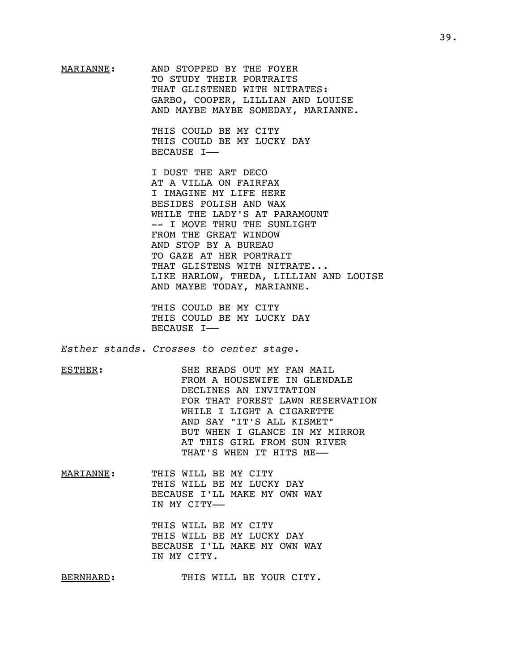MARIANNE: AND STOPPED BY THE FOYER TO STUDY THEIR PORTRAITS THAT GLISTENED WITH NITRATES: GARBO, COOPER, LILLIAN AND LOUISE AND MAYBE MAYBE SOMEDAY, MARIANNE.

> THIS COULD BE MY CITY THIS COULD BE MY LUCKY DAY BECAUSE I––

I DUST THE ART DECO AT A VILLA ON FAIRFAX I IMAGINE MY LIFE HERE BESIDES POLISH AND WAX WHILE THE LADY'S AT PARAMOUNT -- I MOVE THRU THE SUNLIGHT FROM THE GREAT WINDOW AND STOP BY A BUREAU TO GAZE AT HER PORTRAIT THAT GLISTENS WITH NITRATE... LIKE HARLOW, THEDA, LILLIAN AND LOUISE AND MAYBE TODAY, MARIANNE.

THIS COULD BE MY CITY THIS COULD BE MY LUCKY DAY BECAUSE I––

*Esther stands. Crosses to center stage.*

ESTHER: SHE READS OUT MY FAN MAIL FROM A HOUSEWIFE IN GLENDALE DECLINES AN INVITATION FOR THAT FOREST LAWN RESERVATION WHILE I LIGHT A CIGARETTE AND SAY "IT'S ALL KISMET" BUT WHEN I GLANCE IN MY MIRROR AT THIS GIRL FROM SUN RIVER THAT'S WHEN IT HITS ME––

MARIANNE: THIS WILL BE MY CITY THIS WILL BE MY LUCKY DAY BECAUSE I'LL MAKE MY OWN WAY IN MY CITY––

> THIS WILL BE MY CITY THIS WILL BE MY LUCKY DAY BECAUSE I'LL MAKE MY OWN WAY IN MY CITY.

BERNHARD: THIS WILL BE YOUR CITY.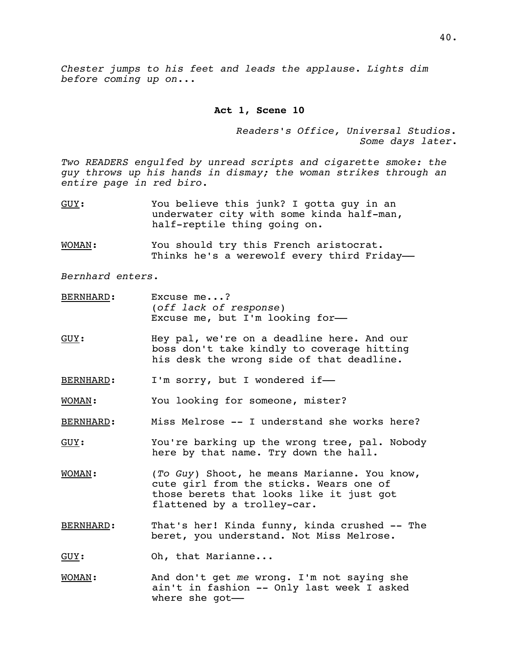*Chester jumps to his feet and leads the applause*. *Lights dim before coming up on*...

### **Act 1, Scene 10**

*Readers's Office, Universal Studios. Some days later*.

*Two READERS engulfed by unread scripts and cigarette smoke: the guy throws up his hands in dismay; the woman strikes through an entire page in red biro.*

- GUY: You believe this junk? I gotta guy in an underwater city with some kinda half-man, half-reptile thing going on.
- WOMAN: You should try this French aristocrat. Thinks he's a werewolf every third Friday-

*Bernhard enters*.

- BERNHARD: Excuse me...? (*off lack of response*) Excuse me, but I'm looking for-
- GUY: Hey pal, we're on a deadline here. And our boss don't take kindly to coverage hitting his desk the wrong side of that deadline.
- BERNHARD: I'm sorry, but I wondered if-

WOMAN: You looking for someone, mister?

- BERNHARD: Miss Melrose -- I understand she works here?
- GUY: You're barking up the wrong tree, pal. Nobody here by that name. Try down the hall.
- WOMAN: (*To Guy*) Shoot, he means Marianne. You know, cute girl from the sticks. Wears one of those berets that looks like it just got flattened by a trolley-car.
- BERNHARD: That's her! Kinda funny, kinda crushed -- The beret, you understand. Not Miss Melrose.
- GUY: Oh, that Marianne...
- WOMAN: And don't get *me* wrong. I'm not saying she ain't in fashion -- Only last week I asked where she got-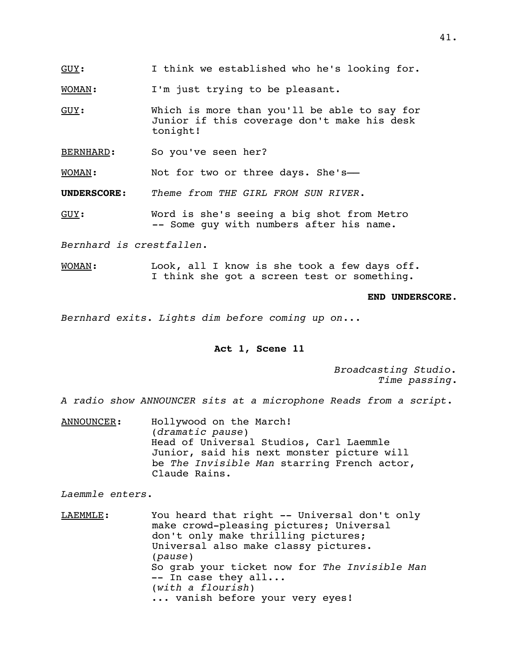$GUV:$  I think we established who he's looking for.

WOMAN: I'm just trying to be pleasant.

- GUY: Which is more than you'll be able to say for Junior if this coverage don't make his desk tonight!
- BERNHARD: So you've seen her?

WOMAN: Not for two or three days. She's-

**UNDERSCORE**: *Theme from THE GIRL FROM SUN RIVER*.

GUY: Word is she's seeing a big shot from Metro -- Some guy with numbers after his name.

*Bernhard is crestfallen*.

WOMAN: Look, all I know is she took a few days off. I think she got a screen test or something.

#### **END UNDERSCORE**.

*Bernhard exits. Lights dim before coming up on*...

### **Act 1, Scene 11**

*Broadcasting Studio. Time passing*.

*A radio show ANNOUNCER sits at a microphone Reads from a script*.

ANNOUNCER: Hollywood on the March! (*dramatic pause*) Head of Universal Studios, Carl Laemmle Junior, said his next monster picture will be *The Invisible Man* starring French actor, Claude Rains.

*Laemmle enters*.

LAEMMLE: You heard that right -- Universal don't only make crowd-pleasing pictures; Universal don't only make thrilling pictures; Universal also make classy pictures. (*pause*) So grab your ticket now for *The Invisible Man* -- In case they all... (*with a flourish*) ... vanish before your very eyes!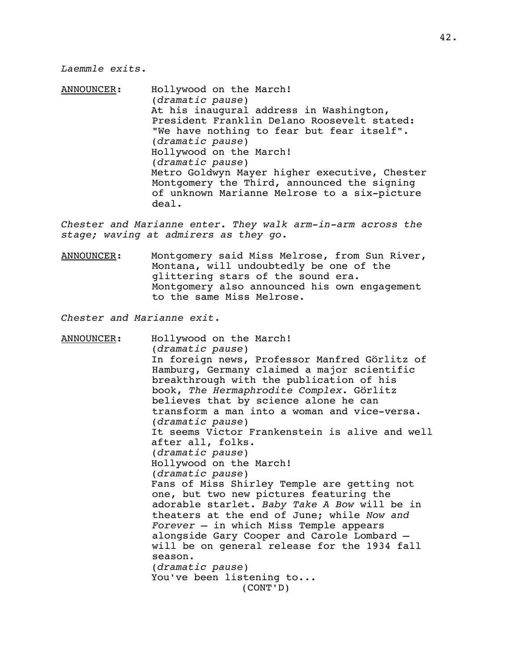### *Laemmle exits*.

ANNOUNCER: Hollywood on the March! (*dramatic pause*) At his inaugural address in Washington, President Franklin Delano Roosevelt stated: "We have nothing to fear but fear itself". (*dramatic pause*) Hollywood on the March! (*dramatic pause*) Metro Goldwyn Mayer higher executive, Chester Montgomery the Third, announced the signing of unknown Marianne Melrose to a six-picture deal.

*Chester and Marianne enter. They walk arm-in-arm across the stage; waving at admirers as they go*.

ANNOUNCER: Montgomery said Miss Melrose, from Sun River, Montana, will undoubtedly be one of the glittering stars of the sound era. Montgomery also announced his own engagement to the same Miss Melrose.

*Chester and Marianne exit*.

ANNOUNCER: Hollywood on the March! (*dramatic pause*) In foreign news, Professor Manfred Görlitz of Hamburg, Germany claimed a major scientific breakthrough with the publication of his book, *The Hermaphrodite Complex*. Görlitz believes that by science alone he can transform a man into a woman and vice-versa. (*dramatic pause*) It seems Victor Frankenstein is alive and well after all, folks. (*dramatic pause*) Hollywood on the March! (*dramatic pause*) Fans of Miss Shirley Temple are getting not one, but two new pictures featuring the adorable starlet. *Baby Take A Bow* will be in theaters at the end of June; while *Now and Forever* – in which Miss Temple appears alongside Gary Cooper and Carole Lombard – will be on general release for the 1934 fall season. (*dramatic pause*) You've been listening to... (CONT'D)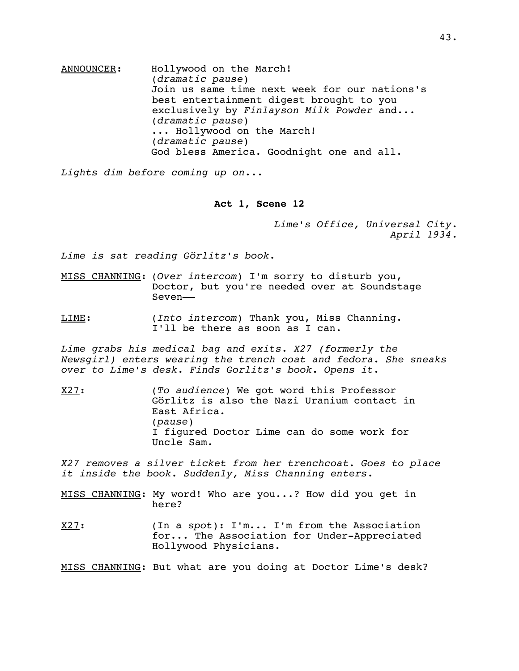ANNOUNCER: Hollywood on the March! (*dramatic pause*) Join us same time next week for our nations's best entertainment digest brought to you exclusively by *Finlayson Milk Powder* and... (*dramatic pause*) ... Hollywood on the March! (*dramatic pause*) God bless America. Goodnight one and all.

*Lights dim before coming up on*...

#### **Act 1, Scene 12**

*Lime's Office, Universal City*. *April 1934*.

*Lime is sat reading Görlitz's book*.

MISS CHANNING: (*Over intercom*) I'm sorry to disturb you, Doctor, but you're needed over at Soundstage Seven––

LIME: (*Into intercom*) Thank you, Miss Channing. I'll be there as soon as I can.

*Lime grabs his medical bag and exits*. *X27 (formerly the Newsgirl) enters wearing the trench coat and fedora. She sneaks over to Lime's desk. Finds Gorlitz's book. Opens it*.

X27: (*To audience*) We got word this Professor Görlitz is also the Nazi Uranium contact in East Africa. (*pause*) I figured Doctor Lime can do some work for Uncle Sam.

*X27 removes a silver ticket from her trenchcoat. Goes to place it inside the book. Suddenly, Miss Channing enters*.

MISS CHANNING: My word! Who are you...? How did you get in here?

X27: (In a *spot*): I'm... I'm from the Association for... The Association for Under-Appreciated Hollywood Physicians.

MISS CHANNING: But what are you doing at Doctor Lime's desk?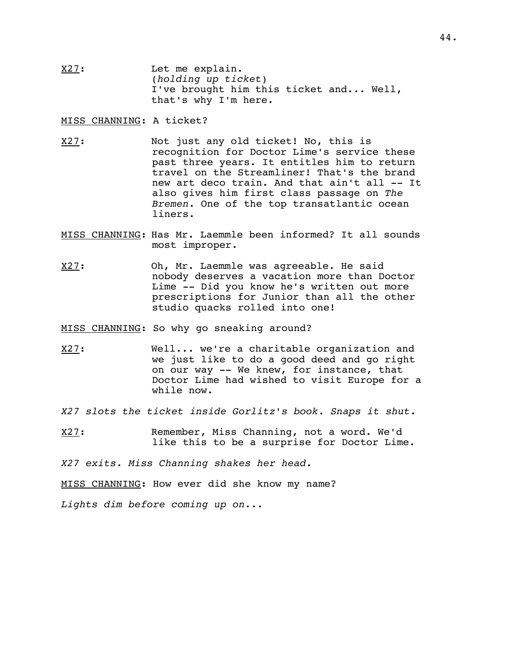X27: Let me explain. (*holding up ticket*) I've brought him this ticket and... Well, that's why I'm here.

MISS CHANNING: A ticket?

- X27: Not just any old ticket! No, this is recognition for Doctor Lime's service these past three years. It entitles him to return travel on the Streamliner! That's the brand new art deco train. And that ain't all -- It also gives him first class passage on *The Bremen*. One of the top transatlantic ocean liners.
- MISS CHANNING: Has Mr. Laemmle been informed? It all sounds most improper.
- X27: Oh, Mr. Laemmle was agreeable. He said nobody deserves a vacation more than Doctor Lime -- Did you know he's written out more prescriptions for Junior than all the other studio quacks rolled into one!

MISS CHANNING: So why go sneaking around?

- X27: Well... we're a charitable organization and we just like to do a good deed and go right on our way -- We knew, for instance, that Doctor Lime had wished to visit Europe for a while now.
- *X27 slots the ticket inside Gorlitz's book. Snaps it shut*.
- X27: Remember, Miss Channing, not a word. We'd like this to be a surprise for Doctor Lime.

*X27 exits*. *Miss Channing shakes her head*.

MISS CHANNING: How ever did she know my name?

*Lights dim before coming up on*...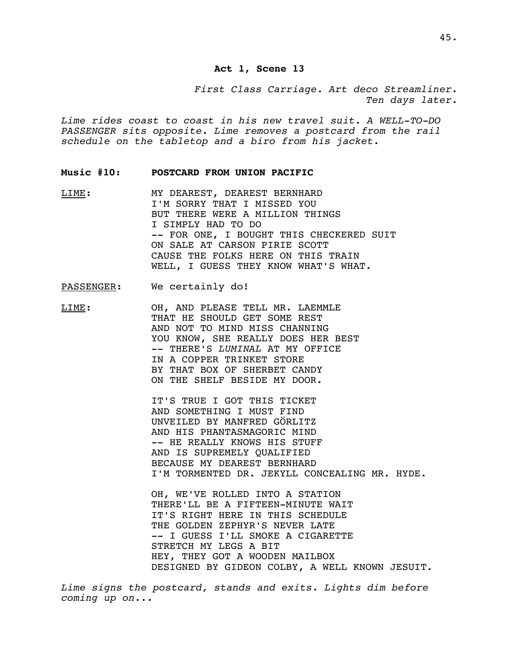# **Act 1, Scene 13**

*First Class Carriage. Art deco Streamliner*. *Ten days later*.

*Lime rides coast to coast in his new travel suit. A WELL-TO-DO PASSENGER sits opposite. Lime removes a postcard from the rail schedule on the tabletop and a biro from his jacket*.

#### **Music #10: POSTCARD FROM UNION PACIFIC**

LIME: MY DEAREST, DEAREST BERNHARD I'M SORRY THAT I MISSED YOU BUT THERE WERE A MILLION THINGS I SIMPLY HAD TO DO -- FOR ONE, I BOUGHT THIS CHECKERED SUIT ON SALE AT CARSON PIRIE SCOTT CAUSE THE FOLKS HERE ON THIS TRAIN WELL, I GUESS THEY KNOW WHAT'S WHAT.

### PASSENGER: We certainly do!

LIME: OH, AND PLEASE TELL MR. LAEMMLE THAT HE SHOULD GET SOME REST AND NOT TO MIND MISS CHANNING YOU KNOW, SHE REALLY DOES HER BEST -- THERE'S *LUMINAL* AT MY OFFICE IN A COPPER TRINKET STORE BY THAT BOX OF SHERBET CANDY ON THE SHELF BESIDE MY DOOR.

> IT'S TRUE I GOT THIS TICKET AND SOMETHING I MUST FIND UNVEILED BY MANFRED GÖRLITZ AND HIS PHANTASMAGORIC MIND -- HE REALLY KNOWS HIS STUFF AND IS SUPREMELY QUALIFIED BECAUSE MY DEAREST BERNHARD I'M TORMENTED DR. JEKYLL CONCEALING MR. HYDE.

OH, WE'VE ROLLED INTO A STATION THERE'LL BE A FIFTEEN-MINUTE WAIT IT'S RIGHT HERE IN THIS SCHEDULE THE GOLDEN ZEPHYR'S NEVER LATE -- I GUESS I'LL SMOKE A CIGARETTE STRETCH MY LEGS A BIT HEY, THEY GOT A WOODEN MAILBOX DESIGNED BY GIDEON COLBY, A WELL KNOWN JESUIT.

*Lime signs the postcard, stands and exits*. *Lights dim before coming up on*...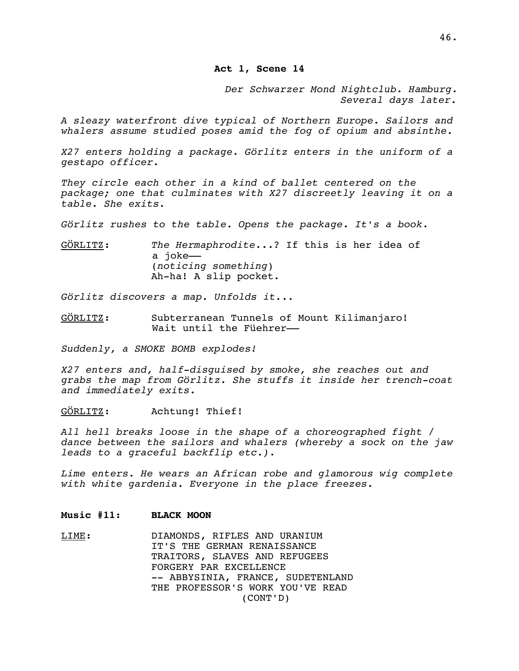**Act 1, Scene 14**

*Der Schwarzer Mond Nightclub. Hamburg*. *Several days later.*

*A sleazy waterfront dive typical of Northern Europe. Sailors and whalers assume studied poses amid the fog of opium and absinthe.*

*X27 enters holding a package*. *Görlitz enters in the uniform of a gestapo officer*.

*They circle each other in a kind of ballet centered on the package; one that culminates with X27 discreetly leaving it on a table. She exits.*

*Görlitz rushes to the table. Opens the package*. *It's a book*.

GÖ RLITZ: *The Hermaphrodite*...? If this is her idea of a joke–– (*noticing something*) Ah-ha! A slip pocket.

*Görlitz discovers a map. Unfolds it...*

GÖRLITZ: Subterranean Tunnels of Mount Kilimanjaro! Wait until the Füehrer-

*Suddenly, a SMOKE BOMB explodes!*

*X27 enters and, half-disguised by smoke, she reaches out and grabs the map from Görlitz. She stuffs it inside her trench-coat and immediately exits.*

GÖRLITZ: Achtung! Thief!

*All hell breaks loose in the shape of a choreographed fight / dance between the sailors and whalers (whereby a sock on the jaw leads to a graceful backflip etc.)*.

*Lime enters. He wears an African robe and glamorous wig complete with white gardenia. Everyone in the place freezes.*

### **Music #11: BLACK MOON**

LIME: DIAMONDS, RIFLES AND URANIUM IT'S THE GERMAN RENAISSANCE TRAITORS, SLAVES AND REFUGEES FORGERY PAR EXCELLENCE -- ABBYSINIA, FRANCE, SUDETENLAND THE PROFESSOR'S WORK YOU'VE READ (CONT'D)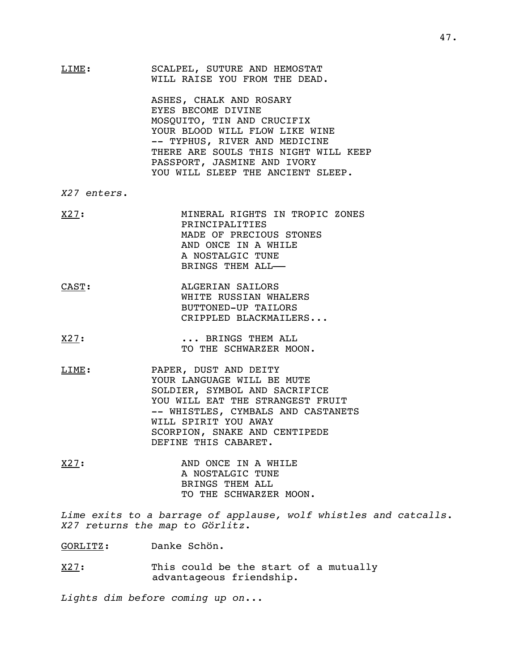LIME: SCALPEL, SUTURE AND HEMOSTAT WILL RAISE YOU FROM THE DEAD.

> ASHES, CHALK AND ROSARY EYES BECOME DIVINE MOSQUITO, TIN AND CRUCIFIX YOUR BLOOD WILL FLOW LIKE WINE -- TYPHUS, RIVER AND MEDICINE THERE ARE SOULS THIS NIGHT WILL KEEP PASSPORT, JASMINE AND IVORY YOU WILL SLEEP THE ANCIENT SLEEP.

*X27 enters*.

- X27: MINERAL RIGHTS IN TROPIC ZONES PRINCIPALITIES MADE OF PRECIOUS STONES AND ONCE IN A WHILE A NOSTALGIC TUNE BRINGS THEM ALL––
- CAST: ALGERIAN SAILORS WHITE RUSSIAN WHALERS BUTTONED-UP TAILORS CRIPPLED BLACKMAILERS...
- X27: ... BRINGS THEM ALL TO THE SCHWARZER MOON.
- LIME: PAPER, DUST AND DEITY YOUR LANGUAGE WILL BE MUTE SOLDIER, SYMBOL AND SACRIFICE YOU WILL EAT THE STRANGEST FRUIT -- WHISTLES, CYMBALS AND CASTANETS WILL SPIRIT YOU AWAY SCORPION, SNAKE AND CENTIPEDE DEFINE THIS CABARET.
- X27: AND ONCE IN A WHILE A NOSTALGIC TUNE BRINGS THEM ALL TO THE SCHWARZER MOON.

*Lime exits to a barrage of applause, wolf whistles and catcalls. X27 returns the map to Görlitz*.

GORLITZ: Danke Schön.

 $X27:$  This could be the start of a mutually advantageous friendship.

*Lights dim before coming up on*...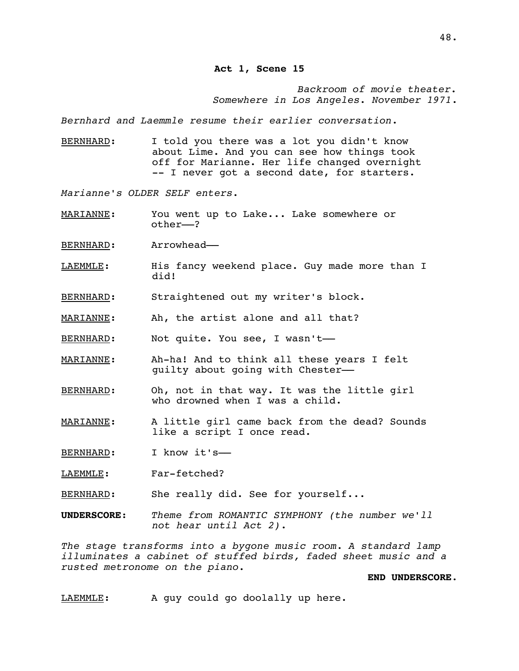*Backroom of movie theater. Somewhere in Los Angeles*. *November 1971*.

*Bernhard and Laemmle resume their earlier conversation*.

BERNHARD: I told you there was a lot you didn't know about Lime. And you can see how things took off for Marianne. Her life changed overnight -- I never got a second date, for starters.

*Marianne's OLDER SELF enters*.

MARIANNE: You went up to Lake... Lake somewhere or other––?

BERNHARD: Arrowhead-

- LAEMMLE: His fancy weekend place. Guy made more than I did!
- BERNHARD: Straightened out my writer's block.
- MARIANNE: Ah, the artist alone and all that?
- BERNHARD: Not quite. You see, I wasn't-
- MARIANNE: Ah-ha! And to think all these years I felt guilty about going with Chester––
- BERNHARD: Oh, not in that way. It was the little girl who drowned when I was a child.
- MARIANNE: A little girl came back from the dead? Sounds like a script I once read.
- BERNHARD: I know it's-
- LAEMMLE: Far-fetched?
- BERNHARD: She really did. See for yourself...
- **UNDERSCORE**: *Theme from ROMANTIC SYMPHONY (the number we'll not hear until Act 2)*.

*The stage transforms into a bygone music room*. *A standard lamp illuminates a cabinet of stuffed birds, faded sheet music and a rusted metronome on the piano.*

## **END UNDERSCORE**.

LAEMMLE: A guy could go doolally up here.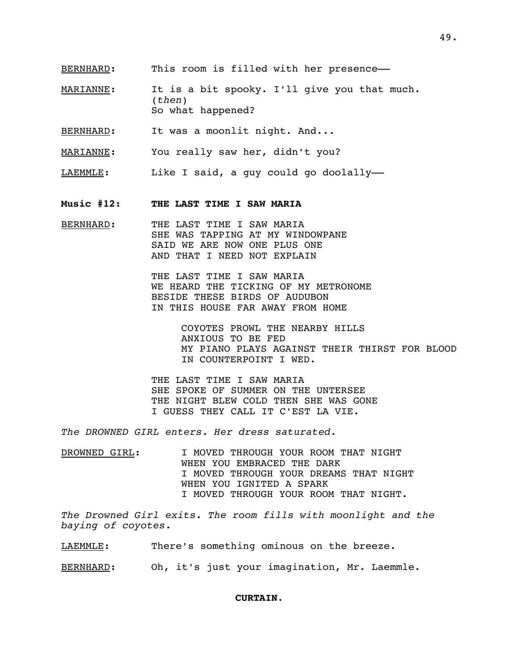- MARIANNE: It is a bit spooky. I'll give you that much. (*then*) So what happened?
- BERNHARD: It was a moonlit night. And...

MARIANNE: You really saw her, didn't you?

- LAEMMLE: Like I said, a guy could go doolally-
- **Music #12: THE LAST TIME I SAW MARIA**
- BERNHARD: THE LAST TIME I SAW MARIA SHE WAS TAPPING AT MY WINDOWPANE SAID WE ARE NOW ONE PLUS ONE AND THAT I NEED NOT EXPLAIN

THE LAST TIME I SAW MARIA WE HEARD THE TICKING OF MY METRONOME BESIDE THESE BIRDS OF AUDUBON IN THIS HOUSE FAR AWAY FROM HOME

> COYOTES PROWL THE NEARBY HILLS ANXIOUS TO BE FED MY PIANO PLAYS AGAINST THEIR THIRST FOR BLOOD IN COUNTERPOINT I WED.

THE LAST TIME I SAW MARIA SHE SPOKE OF SUMMER ON THE UNTERSEE THE NIGHT BLEW COLD THEN SHE WAS GONE I GUESS THEY CALL IT C'EST LA VIE.

*The DROWNED GIRL enters. Her dress saturated*.

DROWNED GIRL: I MOVED THROUGH YOUR ROOM THAT NIGHT WHEN YOU EMBRACED THE DARK I MOVED THROUGH YOUR DREAMS THAT NIGHT WHEN YOU IGNITED A SPARK I MOVED THROUGH YOUR ROOM THAT NIGHT.

*The Drowned Girl exits*. *The room fills with moonlight and the baying of coyotes*.

LAEMMLE: There's something ominous on the breeze.

BERNHARD: Oh, it's just your imagination, Mr. Laemmle.

#### **CURTAIN**.